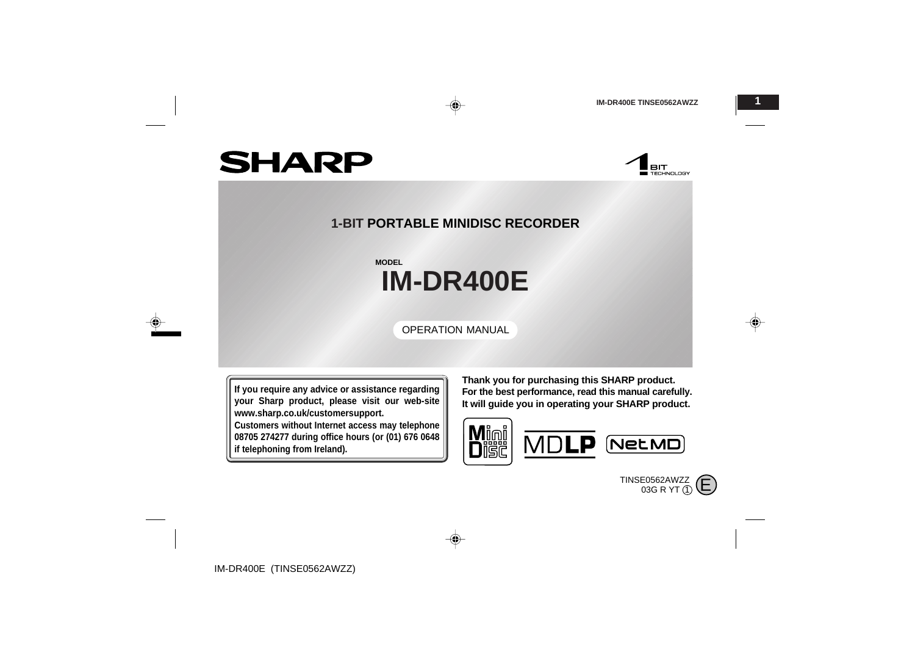**BIT**<br>Exploration

# **SHARP**

## **1-BIT PORTABLE MINIDISC RECORDER**

◈

# **IM-DR400E MODEL**

OPERATION MANUAL

**If you require any advice or assistance regarding your Sharp product, please visit our web-site www.sharp.co.uk/customersupport.**

**Customers without Internet access may telephone 08705 274277 during office hours (or (01) 676 0648 if telephoning from Ireland).**

**Thank you for purchasing this SHARP product. For the best performance, read this manual carefully. It will guide you in operating your SHARP product.**



TINSE0562AWZZ  $_{03G}$  R YT  $_{10}$   $\left(\rule{0mm}{!)}\right.$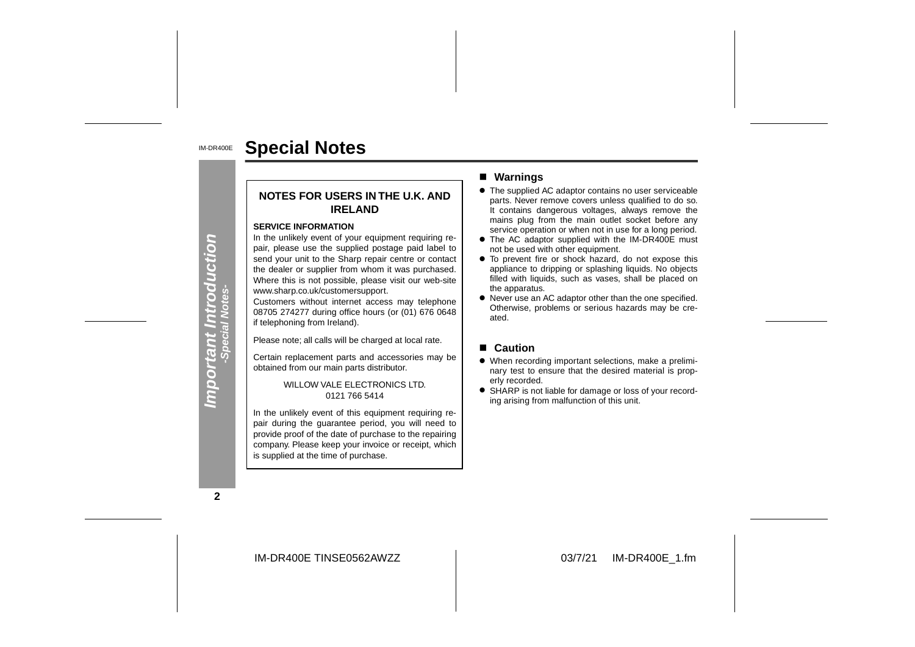#### IM-DR400E**Special Notes**

#### **NOTES FOR USERS IN THE U.K. ANDIRELAND**

#### **SERVICE INFORMATION**

In the unlikely event of your equipment requiring repair, please use the supplied postage paid label to send your unit to the Sharp repair centre or contact the dealer or supplier from whom it was purchased. Where this is not possible, please visit our web-site www.sharp.co.uk/customersupport.

Customers without internet access may telephone 08705 274277 during office hours (or (01) 676 0648 if telephoning from Ireland).

Please note; all calls will be charged at local rate.

Certain replacement parts and accessories may be obtained from our main parts distributor.

> WILLOW VALE ELECTRONICS LTD. 0121 766 5414

In the unlikely event of this equipment requiring repair during the guarantee period, you will need to provide proof of the date of purchase to the repairing company. Please keep your invoice or receipt, which is supplied at the time of purchase.

#### ■ Warnings

- The supplied AC adaptor contains no user serviceable parts. Never remove covers unless qualified to do so. It contains dangerous voltages, always remove the mains plug from the main outlet socket before any service operation or when not in use for a long period.
- The AC adaptor supplied with the IM-DR400E must not be used with other equipment.
- To prevent fire or shock hazard, do not expose this appliance to dripping or splashing liquids. No objects filled with liquids, such as vases, shall be placed on the apparatus.
- Never use an AC adaptor other than the one specified. Otherwise, problems or serious hazards may be cre ated.

#### ■ **Caution**

- When recording important selections, make a preliminary test to ensure that the desired material is properly recorded.
- SHARP is not liable for damage or loss of your recording arising from malfunction of this unit.

**2**

**Important Introduction -Special Notes-**

Important Introduction<br>- Special Notes-

IM-DR400E TINSE0562AWZZ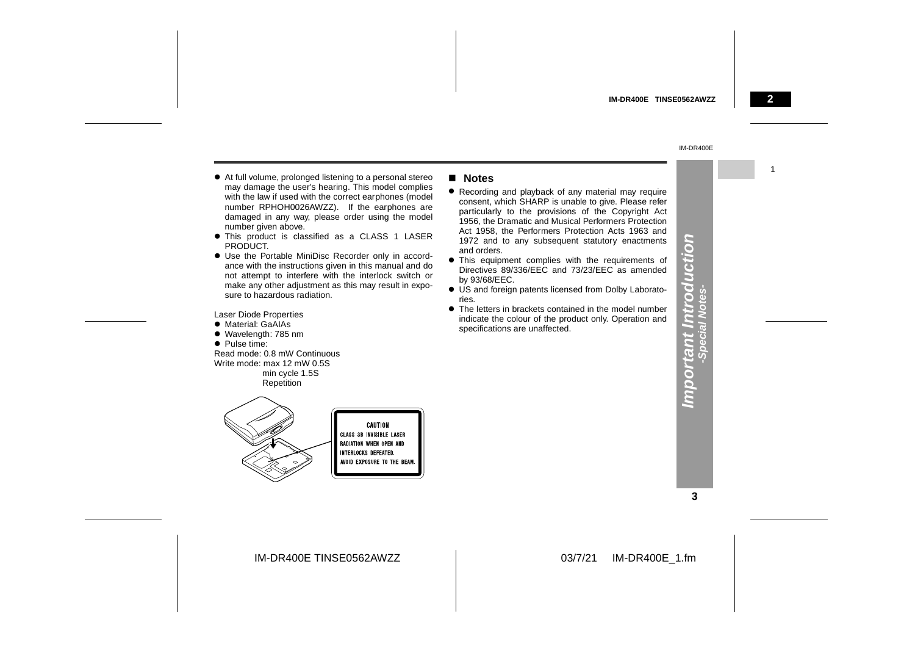1

#### IM-DR400E

- " At full volume, prolonged listening to a personal stereo may damage the user's hearing. This model complies with the law if used with the correct earphones (model number RPHOH0026AWZZ). If the earphones are damaged in any way, please order using the model number given above.
- This product is classified as a CLASS 1 LASER PRODUCT.
- Use the Portable MiniDisc Recorder only in accordance with the instructions given in this manual and do not attempt to interfere with the interlock switch or make any other adjustment as this may result in exposure to hazardous radiation.

Laser Diode Properties

- Material: GaAIAs
- Wavelength: 785 nm
- Pulse time:

Read mode: 0.8 mW ContinuousWrite mode: max 12 mW 0.5S min cycle 1.5S Repetition



#### ! **Notes**

- Recording and playback of any material may require consent, which SHARP is unable to give. Please refer particularly to the provisions of the Copyright Act 1956, the Dramatic and Musical Performers Protection Act 1958, the Performers Protection Acts 1963 and 1972 and to any subsequent statutory enactments and orders.
- **•** This equipment complies with the requirements of Directives 89/336/EEC and 73/23/EEC as amended by 93/68/EEC.
- US and foreign patents licensed from Dolby Laboratories.
- $\bullet$  The letters in brackets contained in the model number indicate the colour of the product only. Operation and specifications are unaffected.

**3**

**Important Introduction -Special Notes-**

Important Introd<br>-special Notes-

S

UCti

IM-DR400E TINSE0562AWZZ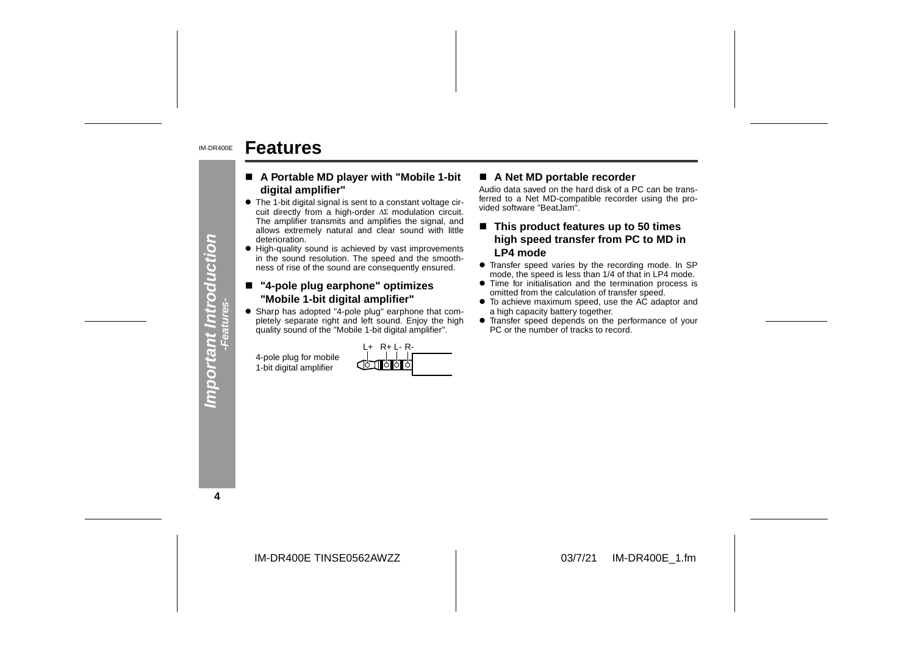#### IM-DR400E**Features**

- ! **A Portable MD player with "Mobile 1-bit digital amplifier"**
- $\bullet\,$  The 1-bit digital signal is sent to a constant voltage circuit directly from a high-order  $\Delta \Sigma$  modulation circuit. The amplifier transmits and amplifies the signal, and allows extremely natural and clear sound with little deterioration. **A Portable MD player with "Mobile 1-bit**  $\blacksquare$  A Net MD portable recorder<br>
The 1-bit digital amplifier"<br>
Audio data saved on the hard disk of a PC can be trans-<br>
cuit directly from a high-order  $\Delta\Sigma$  modulation circuit
- High-quality sound is achieved by vast improvements in the sound resolution. The speed and the smoothness of rise of the sound are consequently ensured.

#### ■ "4-pole plug earphone" optimizes "Mobile 1-bit digital amplifier"

• Sharp has adopted "4-pole plug" earphone that completely separate right and left sound. Enjoy the high quality sound of the "Mobile 1-bit digital amplifier".

|                         | $R + 1 - R -$<br>$+$ |
|-------------------------|----------------------|
| 4-pole plug for mobile  | <b>Complete</b>      |
| 1-bit digital amplifier |                      |

- 
- 
- 
- 
- 

**4**

**Important Introduction -Features-**

Important Introduction

IM-DR400E TINSE0562AWZZ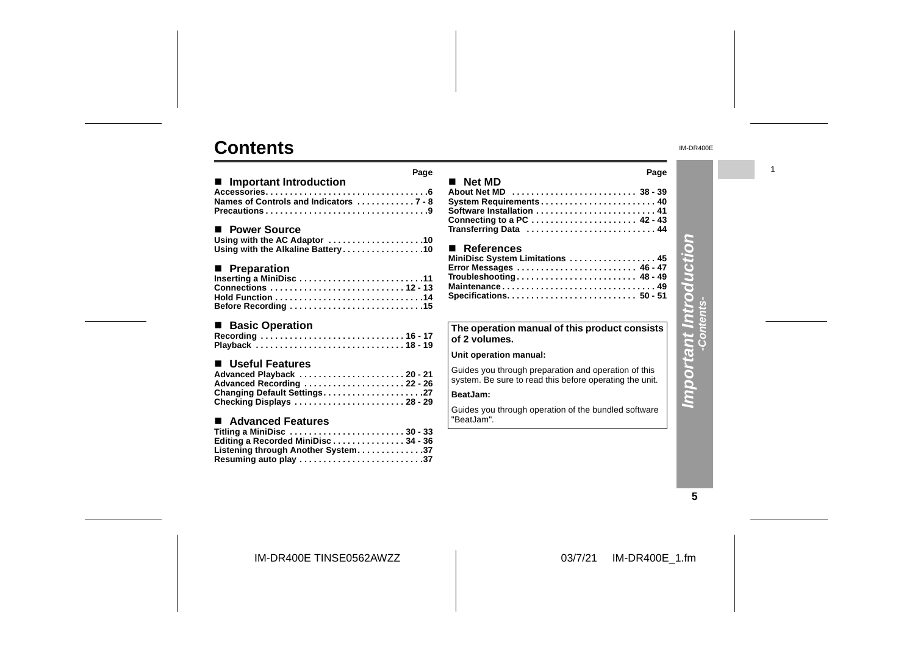## **Contents**

|                                                                                                                                        | Page |
|----------------------------------------------------------------------------------------------------------------------------------------|------|
| ■ Important Introduction<br>Names of Controls and Indicators  7 - 8                                                                    |      |
| ■ Power Source<br>Using with the AC Adaptor 10<br>Using with the Alkaline Battery10                                                    |      |
| ■ Preparation<br>Inserting a MiniDisc 11<br>Before Recording 15                                                                        |      |
| ■ Basic Operation<br>Recording  16 - 17<br>Playback  18 - 19                                                                           |      |
| ■ Useful Features<br>Advanced Playback 20-21<br>Advanced Recording 22 - 26<br>Changing Default Settings27<br>Checking Displays 28 - 29 |      |
| ■ Advanced Features<br>Titling a MiniDisc 30 - 33<br>Editing a Recorded MiniDisc34 - 36                                                |      |

|                                               | Page |
|-----------------------------------------------|------|
| ■ Net MD                                      |      |
| About Net MD  38 - 39                         |      |
|                                               |      |
| Software Installation  41                     |      |
| Connecting to a PC  42 - 43                   |      |
| Transferring Data  44                         |      |
| ■ References                                  |      |
| MiniDisc System Limitations  45               |      |
| Error Messages  46 - 47                       |      |
| Troubleshooting 48 - 49                       |      |
| Maintenance 49                                |      |
|                                               |      |
|                                               |      |
| The operation manual of this product consists |      |
|                                               |      |
| of 2 volumes.                                 |      |

#### **Unit operation manual:**

Guides you through preparation and operation of this system. Be sure to read this before operating the unit.

#### **BeatJam:**

Guides you through operation of the bundled software "BeatJam".

IM-DR400E

1

# **Important Introduction Important Introduction -Contents-**

**5**

IM-DR400E TINSE0562AWZZ

**Listening through Another System. . . . . . . . . . . . . .37 Resuming auto play . . . . . . . . . . . . . . . . . . . . . . . . . .37**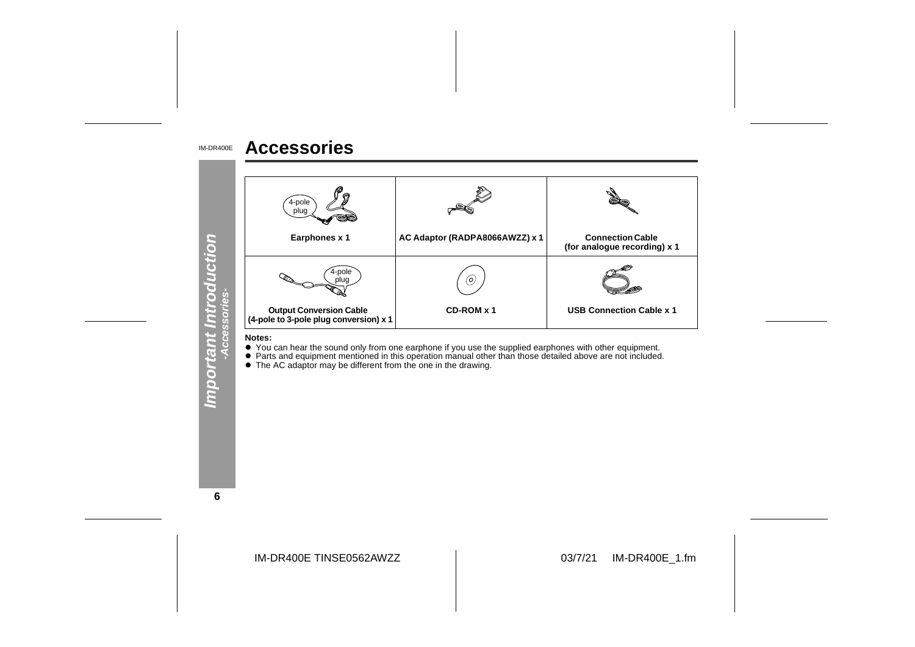#### IM-DR400E**Accessories**



**Notes:**

● You can hear the sound only from one earphone if you use the supplied earphones with other equipment.<br>● Parts and equipment mentioned in this operation manual other than those detailed above are not included.<br>● The AC a

**6**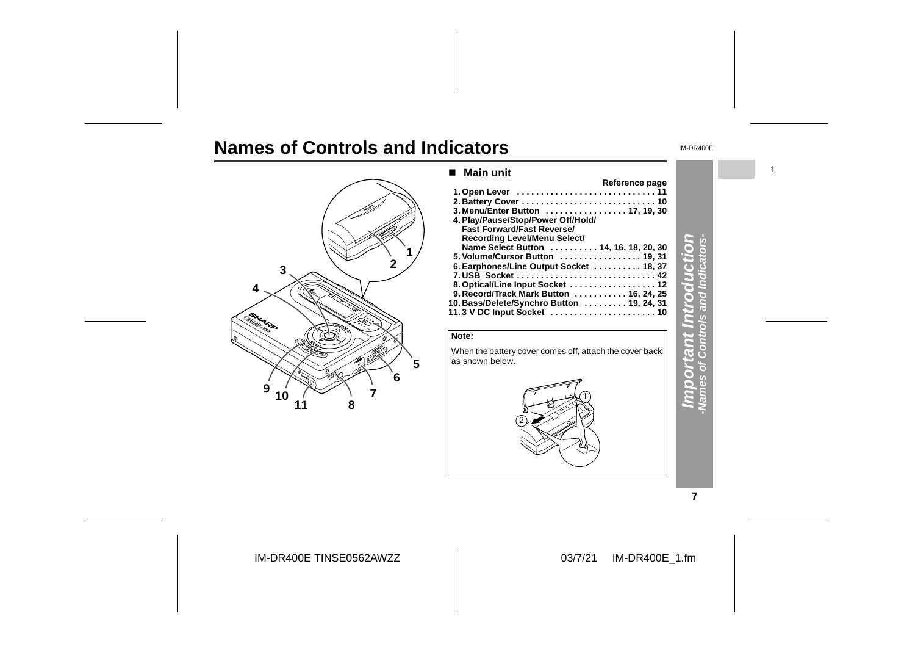# **Names of Controls and Indicators**



## **Important Introduction** ■ Main unit **Reference page 1. Open Lever . . . . . . . . . . . . . . . . . . . . . . . . . . . . . 11 2. Battery Cover . . . . . . . . . . . . . . . . . . . . . . . . . . . . 10 3. Menu/Enter Button . . . . . . . . . . . . . . . . . 17, 19, 30** Fast Forward/Fast Reverse/<br>Recording Level/Menu Select/<br>Name Select Button . . . . . . . . . . . 14, 16, 18, 20, 30 **5. Volume/Cursor Button . . . . . . . . . . . . . . . . . 19, 31 6. Earphones/Line Output Socket . . . . . . . . . . 18, 37 7. USB Socket . . . . . . . . . . . . . . . . . . . . . . . . . . . . . 42 8. Optical/Line Input Socket . . . . . . . . . . . . . . . . . . 12 9. Record/Track Mark Button . . . . . . . . . . . 16, 24, 25 10. Bass/Delete/Synchro Button . . . . . . . . . 19, 24, 31 11. 3 V DC Input Socket . . . . . . . . . . . . . . . . . . . . . . 10**



**7**

IM-DR400E TINSE0562AWZZ

#### 03/7/21 IM-DR400E\_1.fm

1

IM-DR400E

**-Names of Controls and Indicators-**

 $\overline{\mathbf{z}}$  $\circ$ 

d

F

Q. Ğ

G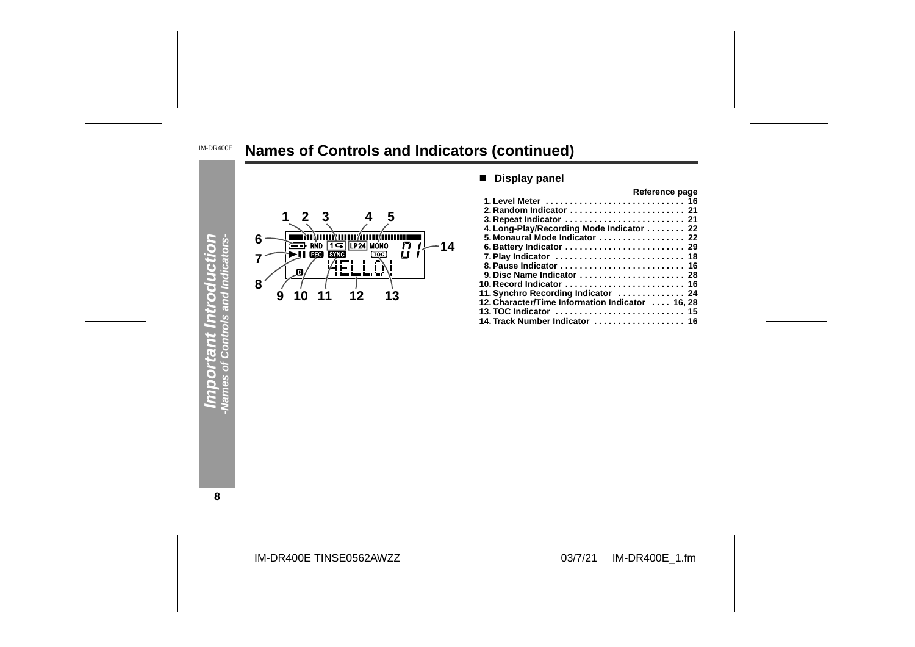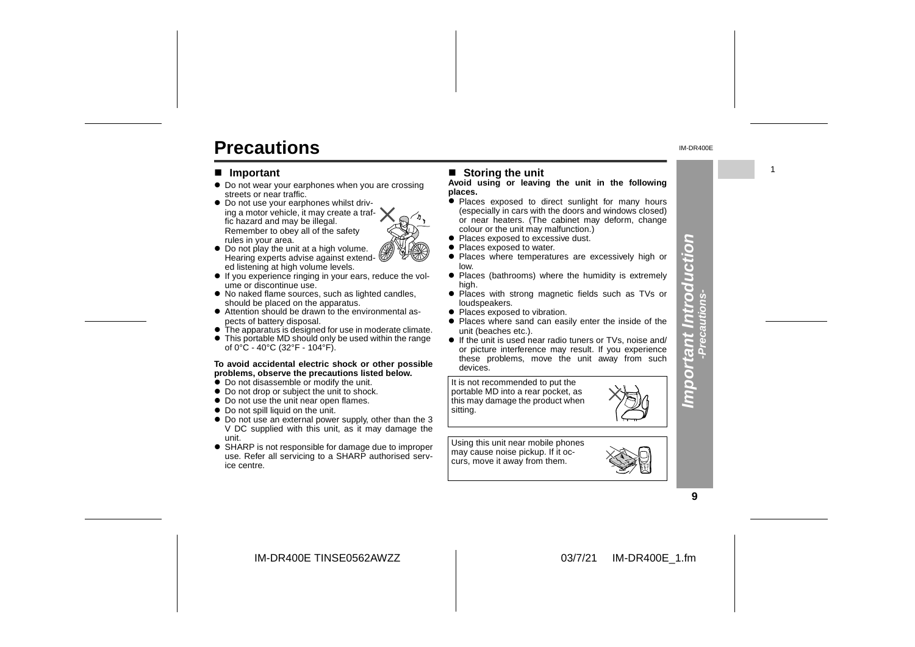# **Precautions**

#### ■ **Important**

- Do not wear your earphones when you are crossing streets or near traffic.
- $\bullet$  Do not use your earphones whilst driving a motor vehicle, it may create a traffic hazard and may be illegal. Remember to obey all of the safety rules in your area.
- Do not play the unit at a high volume. Hearing experts advise against extended listening at high volume levels.
- $\bullet$  If you experience ringing in your ears, reduce the volume or discontinue use.
- No naked flame sources, such as lighted candles, should be placed on the apparatus.
- Attention should be drawn to the environmental aspects of battery disposal.
- $\bullet$  The apparatus is designed for use in moderate climate. • This portable MD should only be used within the range

#### **To avoid accidental electric shock or other possible** of 0°C - 40°C (32°F - 104°F).

- **problems, observe the precautions listed below.**
- $\bullet$  Do not disassemble or modify the unit.
- Do not drop or subject the unit to shock.
- Do not use the unit near open flames.
- Do not spill liquid on the unit.
- Do not use an external power supply, other than the 3 V DC supplied with this unit, as it may damage the unit.
- SHARP is not responsible for damage due to improper use. Refer all servicing to a SHARP authorised service centre.

#### ■ Storing the unit

#### **Avoid using or leaving the unit in the following places.**

- Places exposed to direct sunlight for many hours (especially in cars with the doors and windows closed) or near heaters. (The cabinet may deform, change colour or the unit may malfunction.)
- Places exposed to excessive dust.
- Places exposed to water.
- Places where temperatures are excessively high or low.
- Places (bathrooms) where the humidity is extremely high.
- Places with strong magnetic fields such as TVs or
- loudspeakers.
- Places exposed to vibration. • Places where sand can easily enter the inside of the unit (beaches etc.).
- **•** If the unit is used near radio tuners or TVs, noise and/ or picture interference may result. If you experience these problems, move the unit away from such devices.

It is not recommended to put the portable MD into a rear pocket, as this may damage the product when sitting.

Using this unit near mobile phones may cause noise pickup. If it occurs, move it away from them.



**Important Introduction -Precautions-**

mporta

nt Introducti

n  $\overline{\bullet}$ 

IM-DR400E TINSE0562AWZZ



1

IM-DR400E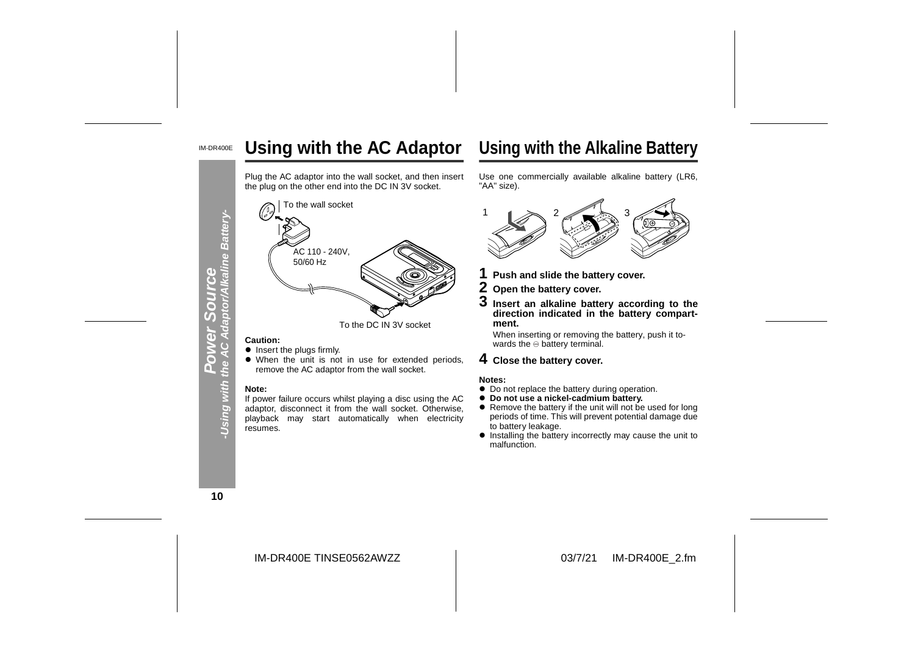#### IM-DR400E**Using with the AC Adaptor**

Plug the AC adaptor into the wall socket, and then insert the plug on the other end into the DC IN 3V socket.



- **.** Insert the plugs firmly.
- When the unit is not in use for extended periods, remove the AC adaptor from the wall socket.

#### **Note:**

 If power failure occurs whilst playing a disc using the AC adaptor, disconnect it from the wall socket. Otherwise, playback may start automatically when electricity resumes.



- 
- 
- 

When inserting or removing the battery, push it towards the  $\ominus$  battery terminal.

- 
- 
- 
- ! Installing the battery incorrectly may cause the unit to malfunction.

**10**

Using with th

**Power Source**

7 Œ

IM-DR400E TINSE0562AWZZ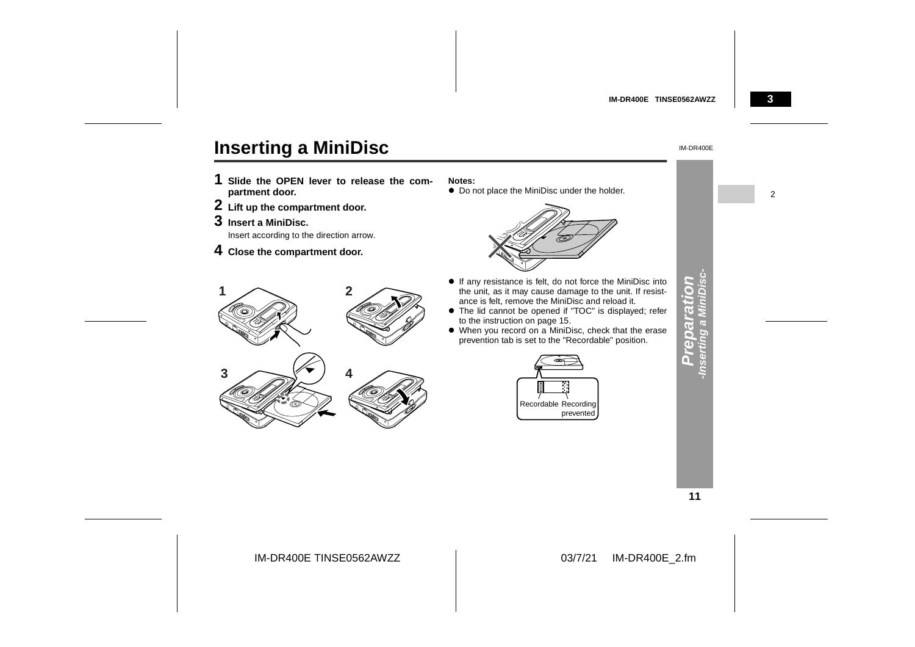

# **Inserting a MiniDisc**

- **1 Slide the OPEN lever to release the com partment door.**
- **2 Lift up the compartment door.**
- **3 Insert a MiniDisc.**
- 4 Close the compartment door.

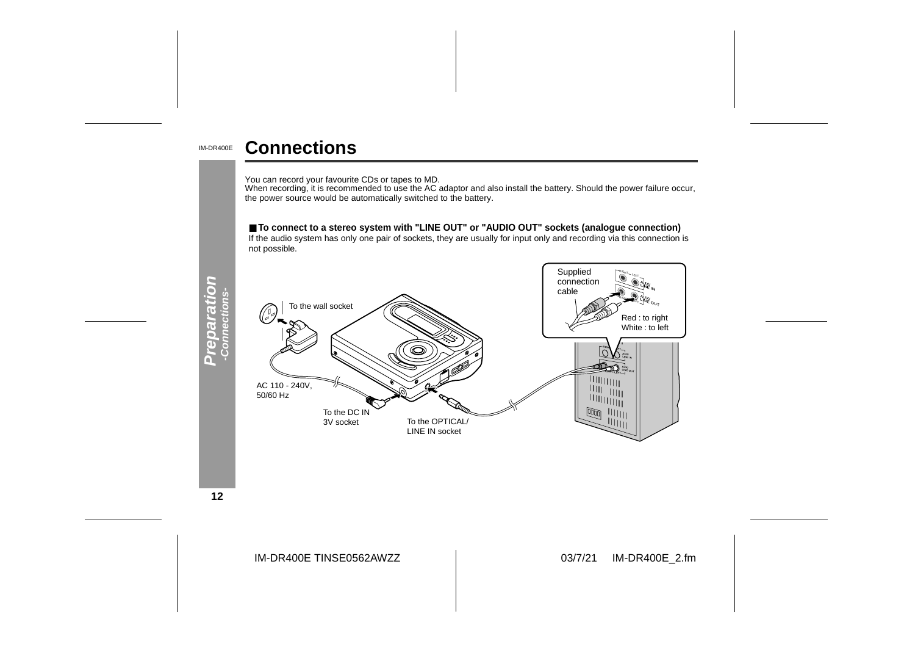#### IM-DR400E**Connections**

You can record your favourite CDs or tapes to MD.<br>When recording, it is recommended to use the AC adaptor and also install the battery. Should the power failure occur,<br>the power source would be automatically switched to th

#### ■ **To connect to a stereo system with "LINE OUT" or "AUDIO OUT" sockets (analogue connection)**

If the audio system has only one pair of sockets, they are usually for input only and recording via this connection is not possible.



**12**

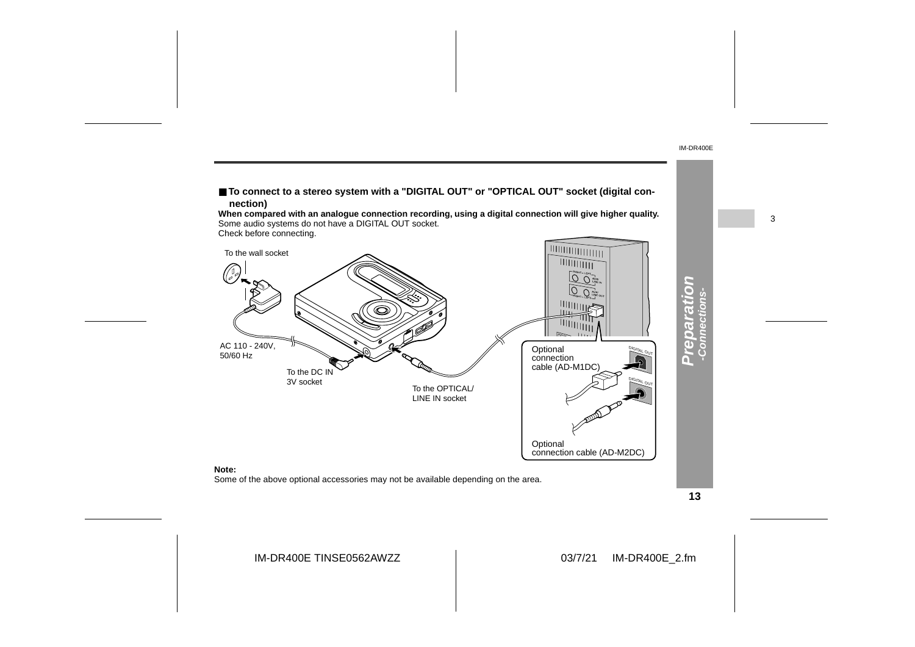

**13**

IM-DR400E

3

IM-DR400E TINSE0562AWZZ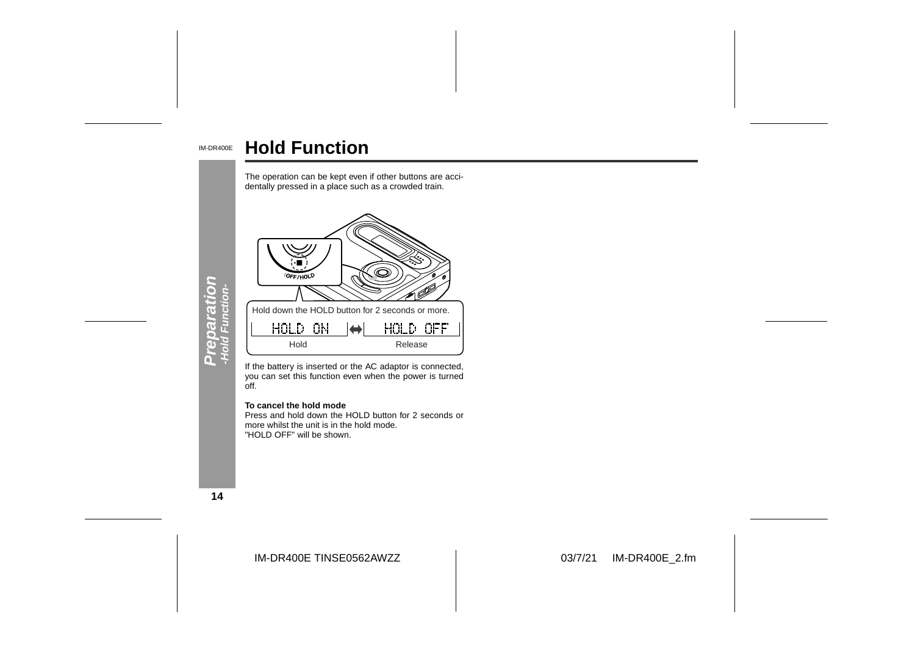#### IM-DR400E **Hold Function**



If the battery is inserted or the AC adaptor is connected, you can set this function even when the power is turned off.

#### **To cancel the hold mode**

 Press and hold down the HOLD button for 2 seconds ormore whilst the unit is in the hold mode. "HOLD OFF" will be shown.

**14**

IM-DR400E TINSE0562AWZZ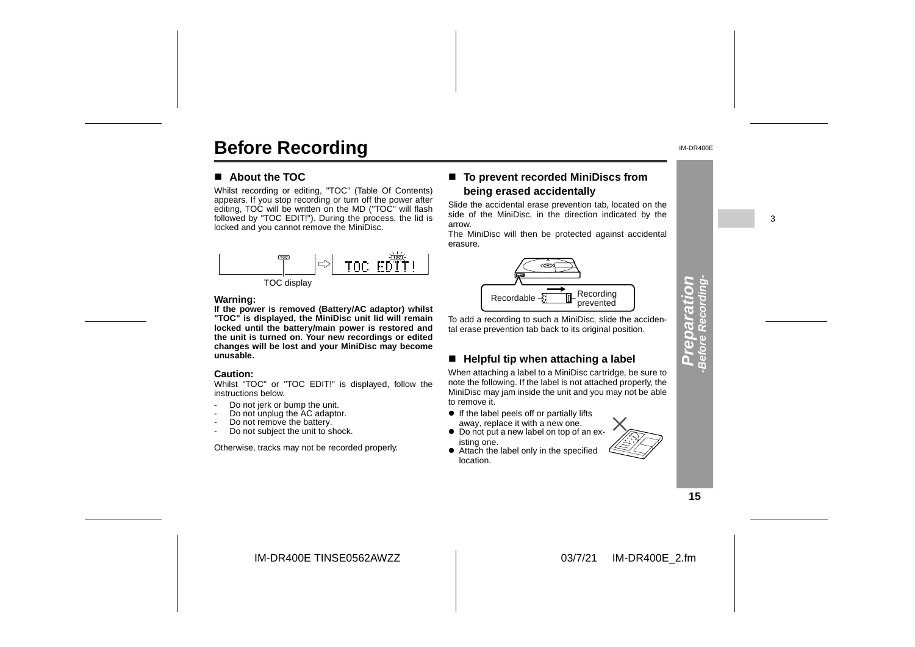# **Before Recording**

#### $\blacksquare$  About the TOC

Whilst recording or editing, "TOC" (Table Of Contents) appears. If you stop recording or turn off the power after editing, TOC will be written on the MD ("TOC" will flash followed by "TOC EDIT!"). During the process, the lid is locked and you cannot remove the MiniDisc.





#### **Warning:**

**If the power is removed (Battery/AC adaptor) whilst "TOC" is displayed, the MiniDisc unit lid will remain locked until the battery/main power is restored and the unit is turned on. Your new recordings or edited changes will be lost and your MiniDisc may become unusable.**

#### **Caution:**

 Whilst "TOC" or "TOC EDIT!" is displayed, follow the instructions below.

- -Do not jerk or bump the unit.
- -Do not unplug the AC adaptor.
- -Do not remove the battery.
- -Do not subject the unit to shock.

Otherwise, tracks may not be recorded properly.

#### ■ To prevent recorded MiniDiscs from **being erased accidentally**

Slide the accidental erase prevention tab, located on the side of the MiniDisc, in the direction indicated by the arrow.

The MiniDisc will then be protected against accidental erasure.



To add a recording to such a MiniDisc, slide the accidental erase prevention tab back to its original position.

#### " **Helpful tip when attaching a label**

When attaching a label to a MiniDisc cartridge, be sure to note the following. If the label is not attached properly, the MiniDisc may jam inside the unit and you may not be able to remove it.

- If the label peels off or partially lifts
- away, replace it with a new one. • Do not put a new label on top of an existing one.
- Attach the label only in the specified location.

**Preparation** S repara

IM-DR400E

# **-Before Recording-**

**15**

IM-DR400E TINSE0562AWZZ

03/7/21 IM-DR400E\_2.fm

3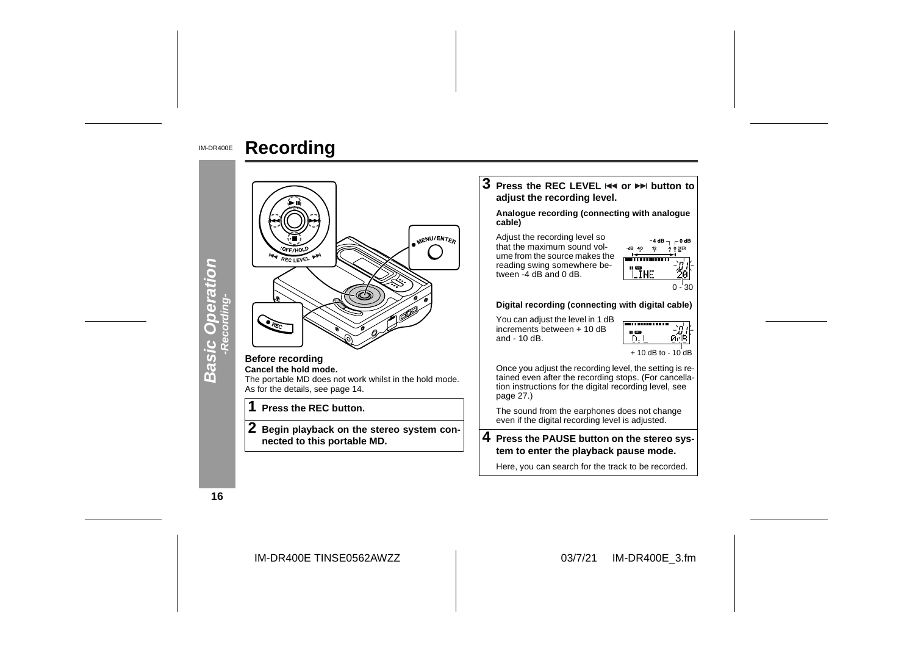

IM-DR400E**Recording**



IM-DR400E TINSE0562AWZZ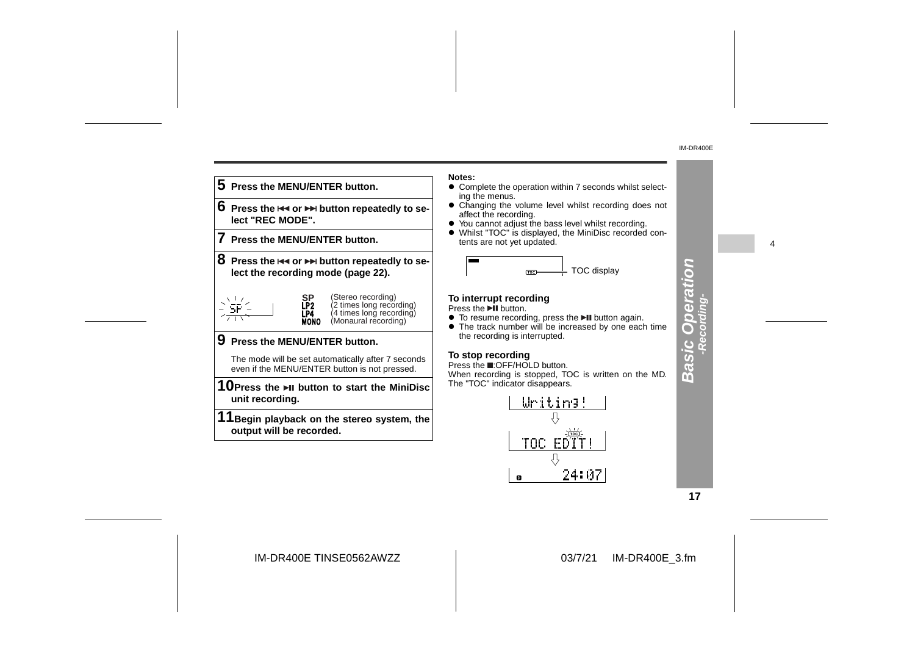4



**Notes:**

- ! Complete the operation within 7 seconds whilst select-
- Changing the volume level whilst recording does not
- ! Whilst "TOC" is displayed, the MiniDisc recorded con-

• The track number will be increased by one each time

TOC EDT 뮤 24:07  $\mathbf 0$ 

**17**

**Basic Operation -Recording-**

**Basic Operation** 

IM-DR400E TINSE0562AWZZ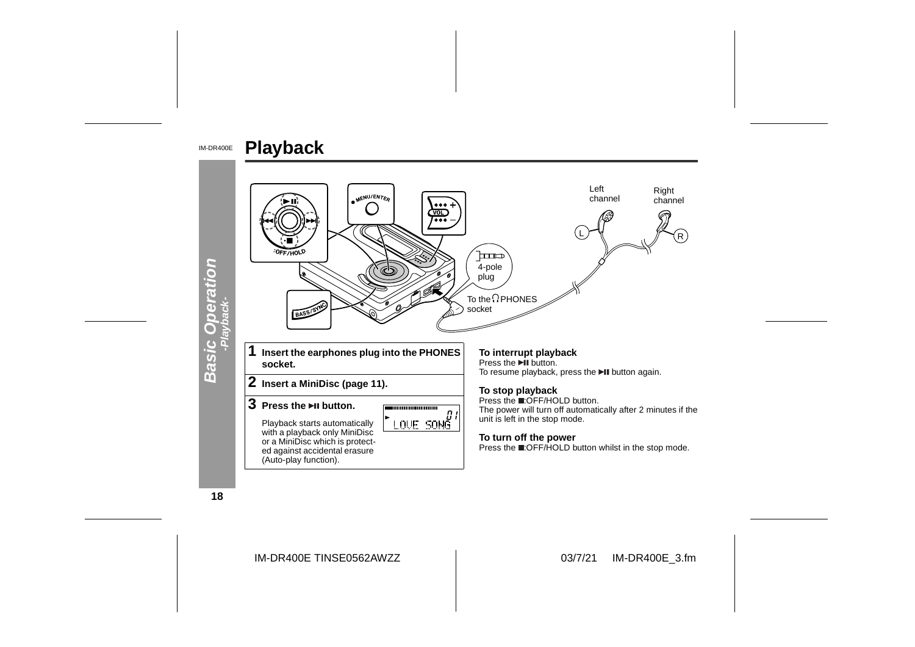

**18**

IM-DR400E TINSE0562AWZZ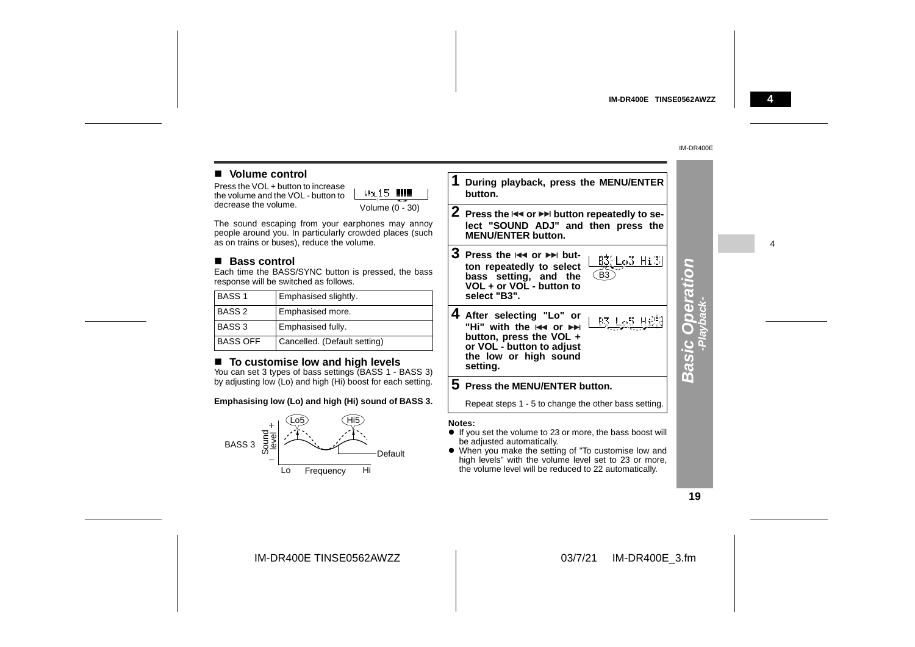#### **4**

4

#### IM-DR400E

#### **Nolume control**

Press the VOL + button to increase the volume and the VOL - but decrease the volume.

| .<br>OL - button to | Va. 15          |
|---------------------|-----------------|
|                     |                 |
| $\blacksquare$      | Volume (0 - 30) |

The sound escaping from your earphones may annoy people around you. In particularly crowded places (such as on trains or buses), reduce the volume.

#### ■ Bass control

Each time the BASS/SYNC button is pressed, the bass response will be switched as follows.

| <b>BASS1</b>      | Emphasised slightly.         |  |
|-------------------|------------------------------|--|
| <b>BASS 2</b>     | Emphasised more.             |  |
| BASS <sub>3</sub> | Emphasised fully.            |  |
| <b>BASS OFF</b>   | Cancelled. (Default setting) |  |

#### ■ To customise low and high levels

You can set 3 types of bass settings (BASS 1 - BASS 3) by adjusting low (Lo) and high (Hi) boost for each setting.

#### **Emphasising low (Lo) and high (Hi) sound of BASS 3.**



**1 During playback, press the MENU/ENTER button.2** Press the I<◀ or ▶▶ button repeatedly to se**lect "SOUND ADJ" and then press the MENU/ENTER button.3** Press the  $\Join$  or  $\Join$  but- $B3$ :  $Lo3$   $Hi3$ 

**ton repeatedly to select bass setting, and the** B3 **VOL + or VOL - button toselect "B3".4 After selecting "Lo" or B3 Lo5 Hi53** "Hi" with the **H4 or ▶▶** 

 **button, press the VOL + or VOL - button to adjust the low or high sound setting.**

#### **5 Press the MENU/ENTER button.**

Repeat steps 1 - 5 to change the other bass setting.

#### **Notes:**

- ! If you set the volume to 23 or more, the bass boost will be adjusted automatically.
- ! When you make the setting of "To customise low and high levels" with the volume level set to 23 or more, the volume level will be reduced to 22 automatically.

#### **19**

**Basic Operation -Playback-**

**Basic Operation**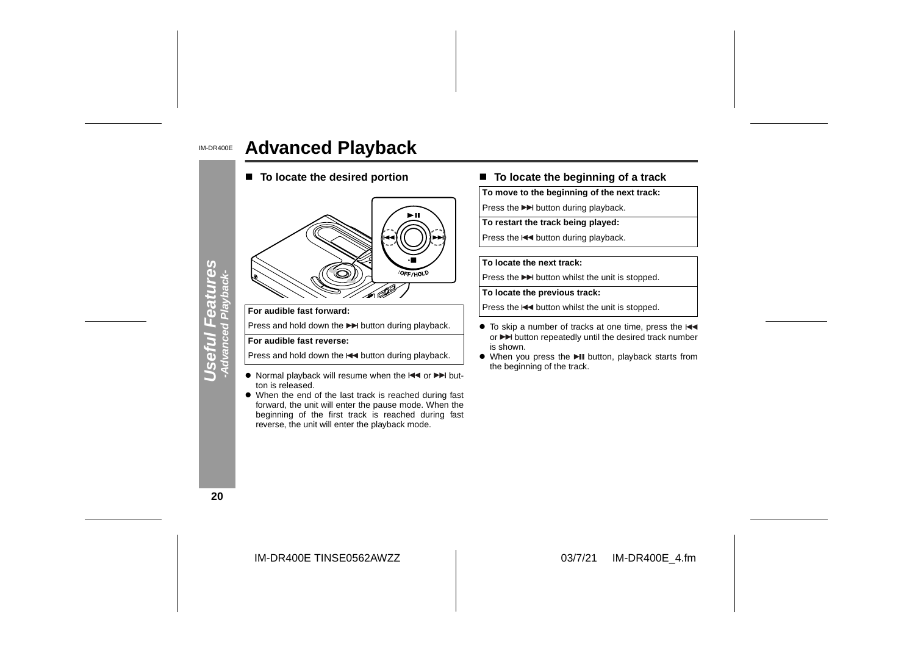#### IM-DR400E**Advanced Playback**

■ To locate the desired portion



#### **For audible fast forward:**

Press and hold down the  $\blacktriangleright$  button during playback.

#### **For audible fast reverse:**

Press and hold down the  $\blacktriangleleft$  button during playback.

- Normal playback will resume when the  $\blacktriangleleft$  or  $\blacktriangleright$  button is released.
- When the end of the last track is reached during fast forward, the unit will enter the pause mode. When the beginning of the first track is reached during fast reverse, the unit will enter the playback mode.

#### ■ To locate the beginning of a track

**To move to the beginning of the next track:**

Press the  $\blacktriangleright$  button during playback.

**To restart the track being played:**

Press the  $\blacktriangleleft$  button during playback.

#### **To locate the next track:**

Press the  $\blacktriangleright$  button whilst the unit is stopped.

**To locate the previous track:**

Press the  $\blacktriangleleft$  button whilst the unit is stopped.

- To skip a number of tracks at one time, press the or  $\blacktriangleright$  button repeatedly until the desired track number is shown.
- When you press the II button, playback starts from the beginning of the track.

**20**

**Useful Features -Advanced Playback-**

5

**Seful Featul**<br>Advanced Playbac

res

IM-DR400E TINSE0562AWZZ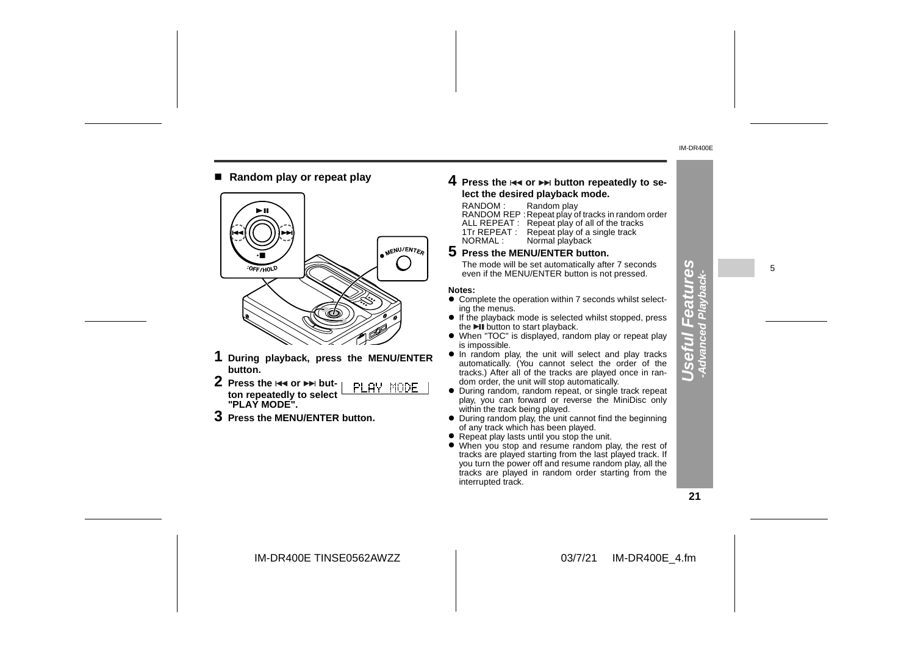■ Random play or repeat play



- **1 During playback, press the MENU/ENTER button.**
- **2** Press the lਵৰ or ▶▶ but-PLAY MODE **ton repeatedly to select "PLAY MODE".**
- **3 Press the MENU/ENTER button.**

#### **4** Press the I◀◀ or ▶▶ button repeatedly to se**lect the desired playback mode.**

#### RANDOM : Random play

RANDOM REP :Repeat play of tracks in random order ALL REPEAT : Repeat play of all of the tracks 1Tr REPEAT : Repeat play of a single track<br>NORMAL : Normal playback Normal playback

#### **5 Press the MENU/ENTER button.**

The mode will be set automatically after 7 seconds The mode will be set automatically after 7 seconds<br>even if the MENU/ENTER button is not pressed.  $\begin{array}{cc} \bigcup_{x} & \downarrow \\ \bigcup_{x} & \downarrow \end{array}$  5

#### **Notes:**

- $\bullet$  Complete the operation within 7 seconds whilst selecting the menus.
- If the playback mode is selected whilst stopped, press the **DII** button to start playback.
- When "TOC" is displayed, random play or repeat play is impossible.
- $\bullet$  In random play, the unit will select and play tracks automatically. (You cannot select the order of the tracks.) After all of the tracks are played once in random order, the unit will stop automatically.
- " During random, random repeat, or single track repeat play, you can forward or reverse the MiniDisc only within the track being played.
- During random play, the unit cannot find the beginning of any track which has been played.
- Repeat play lasts until you stop the unit.
- When you stop and resume random play, the rest of tracks are played starting from the last played track. If you turn the power off and resume random play, all the tracks are played in random order starting from the interrupted track.

**Useful Features -Advanced Playback-**

E  $\overline{\mathbf{a}}$ ত  $\overline{v}$ 

**GG** 

IM-DR400E TINSE0562AWZZ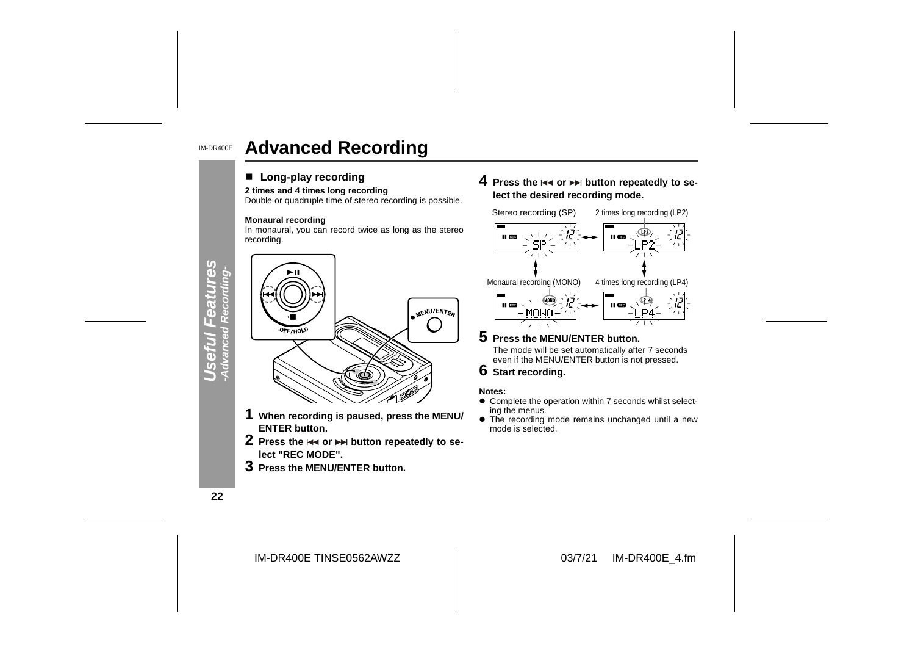#### IM-DR400E**Advanced Recording**

#### ■ Long-play recording

#### **2 times and 4 times long recording**

Double or quadruple time of stereo recording is possible.

#### **Monaural recording**

In monaural, you can record twice as long as the stereo recording.



- **1 When recording is paused, press the MENU/ ENTER button.**
- **2** Press the I◀◀ or ▶▶ button repeatedly to se**lect "REC MODE".**
- **3 Press the MENU/ENTER button.**

**4** Press the I<< or ▶▶ button repeatedly to se**lect the desired recording mode.**



- **5 Press the MENU/ENTER button.** The mode will be set automatically after 7 seconds even if the MENU/ENTER button is not pressed.
- **6 Start recording.**

#### **Notes:**

- $\bullet$  Complete the operation within 7 seconds whilst selecting the menus.
- The recording mode remains unchanged until a new mode is selected.

**22**

**Useful Features**

39

IM-DR400E TINSE0562AWZZ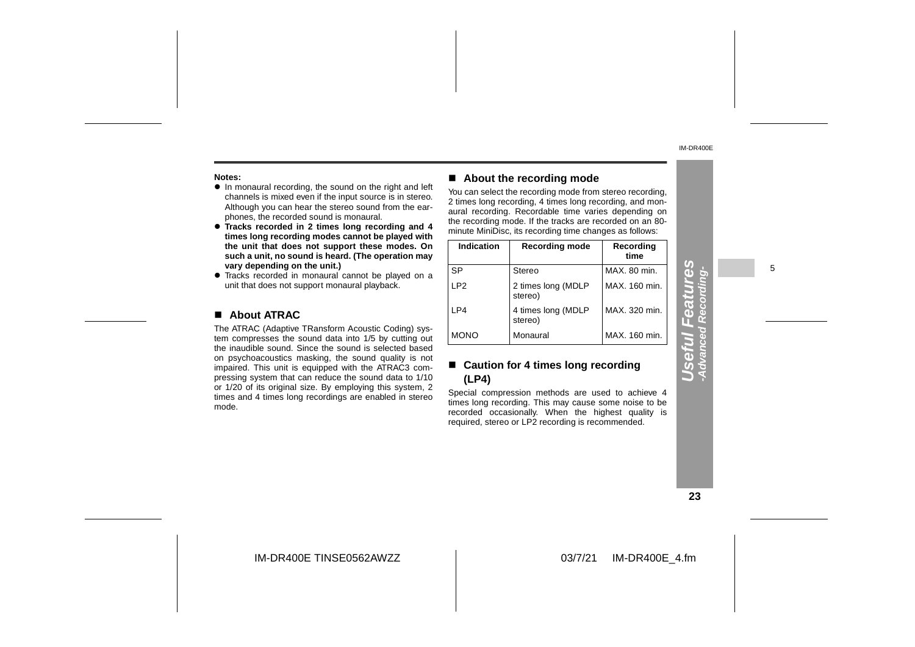#### **Notes:**

- In monaural recording, the sound on the right and left channels is mixed even if the input source is in stereo. Although you can hear the stereo sound from the ear phones, the recorded sound is monaural.
- **Tracks recorded in 2 times long recording and 4 times long recording modes cannot be played with the unit that does not support these modes. On such a unit, no sound is heard. (The operation may vary depending on the unit.)**
- Tracks recorded in monaural cannot be played on a unit that does not support monaural playback.

#### ! **About ATRAC**

The ATRAC (Adaptive TRansform Acoustic Coding) sys tem compresses the sound data into 1/5 by cutting out the inaudible sound. Since the sound is selected based on psychoacoustics masking, the sound quality is not impaired. This unit is equipped with the ATRAC3 com pressing system that can reduce the sound data to 1/10 or 1/20 of its original size. By employing this system, 2 times and 4 times long recordings are enabled in stereo mode.

#### ! **About the recording mode**

You can select the recording mode from stereo recording, 2 times long recording, 4 times long recording, and monaural recording. Recordable time varies depending on the recording mode. If the tracks are recorded on an 80 minute MiniDisc, its recording time changes as follows:

| Indication      | <b>Recording mode</b>         | Recording<br>time |
|-----------------|-------------------------------|-------------------|
| <b>SP</b>       | Stereo                        | MAX. 80 min.      |
| LP <sub>2</sub> | 2 times long (MDLP<br>stereo) | MAX. 160 min.     |
| LP4             | 4 times long (MDLP<br>stereo) | MAX. 320 min.     |
| <b>MONO</b>     | Monaural                      | MAX. 160 min.     |

#### ■ Caution for 4 times long recording **(LP4)**

Special compression methods are used to achieve 4 times long recording. This may cause some noise to be recorded occasionally. When the highest quality is required, stereo or LP2 recording is recommended.

5

#### **23**

**Useful Features -Advanced Recording-**

eful Fea

res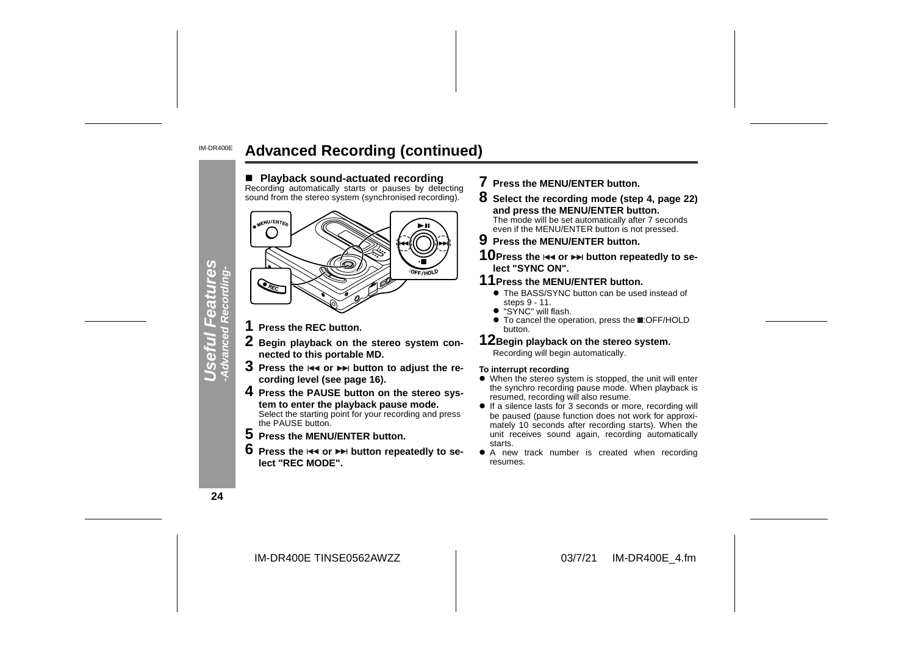#### IM-DR400E**Advanced Recording (continued)**



- **7 Press the MENU/ENTER button.**
- **8 Select the recording mode (step 4, page 22) and press the MENU/ENTER button.** The mode will be set automatically after 7 seconds even if the MENU/ENTER button is not pressed.

#### **9 Press the MENU/ENTER button.**

10 Press the  $\leftrightarrow$  or  $\rightarrow$  button repeatedly to se**lect "SYNC ON".**

#### **11Press the MENU/ENTER button.**

- The BASS/SYNC button can be used instead of steps 9 - 11.
- "SYNC" will flash.
- To cancel the operation, press the **E**:OFF/HOLD button.

#### **12Begin playback on the stereo system.** Recording will begin automatically.

#### **To interrupt recording**

- When the stereo system is stopped, the unit will enter the synchro recording pause mode. When playback is resumed, recording will also resume.
- $\bullet$  If a silence lasts for 3 seconds or more, recording will be paused (pause function does not work for approximately 10 seconds after recording starts). When the unit receives sound again, recording automatically starts.
- $\bullet$  A new track number is created when recording resumes.

**24**

IM-DR400E TINSE0562AWZZ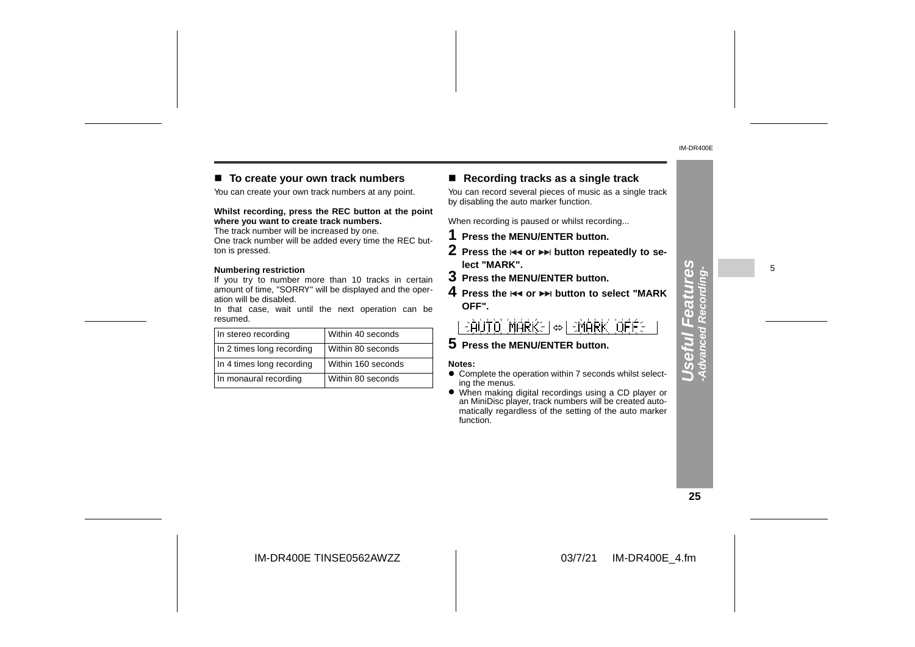#### ■ To create your own track numbers

You can create your own track numbers at any point.

**Whilst recording, press the REC button at the point where you want to create track numbers.**

The track number will be increased by one. One track number will be added every time the REC button is pressed.

#### **Numbering restriction**

If you try to number more than 10 tracks in certain amount of time, "SORRY" will be displayed and the operation will be disabled.

In that case, wait until the next operation can be resumed.

| In stereo recording       | Within 40 seconds  |
|---------------------------|--------------------|
| In 2 times long recording | Within 80 seconds  |
| In 4 times long recording | Within 160 seconds |
| In monaural recording     | Within 80 seconds  |

#### ! **Recording tracks as a single track**

You can record several pieces of music as a single track by disabling the auto marker function.

When recording is paused or whilst recording...

- **1 Press the MENU/ENTER button.**
- **2** Press the I◀◀ or ▶▶ button repeatedly to se**lect "MARK".**
- **3 Press the MENU/ENTER button.**
- **4** Press the **l**∢∢ or ▶▶I button to select "MARK **OFF".**

 $\Rightarrow$ AUTO MARKEI $\Leftrightarrow$ I $\Rightarrow$ MARK OFFE

**5 Press the MENU/ENTER button.**

#### **Notes:**

- Complete the operation within 7 seconds whilst selecting the menus.
- When making digital recordings using a CD player or an MiniDisc player, track numbers will be created automatically regardless of the setting of the auto marker function.

5

#### **25**

**Useful Features -Advanced Recording-**

Useful Features<br>Advanced Recording-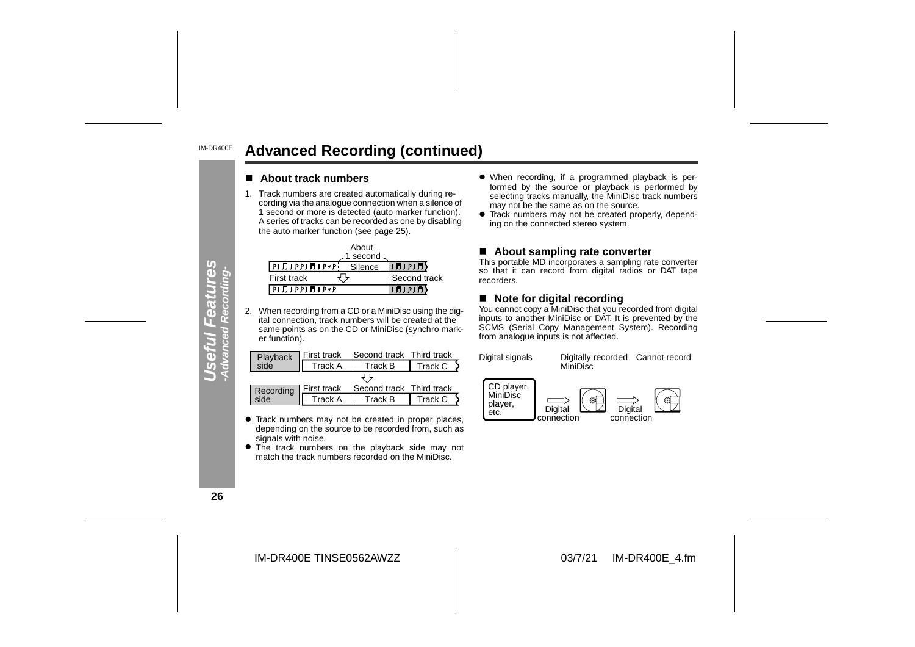#### IM-DR400E**Advanced Recording (continued)**

#### ■ About track numbers

1. Track numbers are created automatically during recording via the analogue connection when a silence of 1 second or more is detected (auto marker function). A series of tracks can be recorded as one by disabling the auto marker function (see page 25).

|                                                                       | About      |              |
|-----------------------------------------------------------------------|------------|--------------|
|                                                                       | 1 second - |              |
| ▌ፆͿ <del>ℿ</del> Ϳ ϷϷ <del>Ϳ ͿͿ</del> Ϳ Ϸ <del>ᢦ</del> Ϸ <sup>ͺ</sup> | Silence    | りガリアリガタ      |
| First track                                                           |            | Second track |
| $[P] \Pi I P P I \Pi I P * P$                                         |            | (月) 2) 月)    |

2. When recording from a CD or a MiniDisc using the digital connection, track numbers will be created at the same points as on the CD or MiniDisc (synchro marker function).

|                  | First track    | Second track Third track |         |
|------------------|----------------|--------------------------|---------|
| Playback<br>side | Track A        | Track B                  | Track C |
|                  |                |                          |         |
| Recording        | First track    | Second track Third track |         |
| side             | <b>Track A</b> | Track B                  | Track C |

- **•** Track numbers may not be created in proper places, depending on the source to be recorded from, such as signals with noise.
- The track numbers on the playback side may not match the track numbers recorded on the MiniDisc.
- When recording, if a programmed playback is performed by the source or playback is performed by selecting tracks manually, the MiniDisc track numbers may not be the same as on the source.
- Track numbers may not be created properly, depending on the connected stereo system.

#### ■ About sampling rate converter

This portable MD incorporates a sampling rate converter so that it can record from digital radios or DAT tape recorders.

#### ■ Note for digital recording

You cannot copy a MiniDisc that you recorded from digital inputs to another MiniDisc or DAT. It is prevented by the SCMS (Serial Copy Management System). Recording from analogue inputs is not affected.



**26**

**Useful Features -Advanced Recording-**

fWl Fea<br>anced Rec erul

mlee

**Sez** 

IM-DR400E TINSE0562AWZZ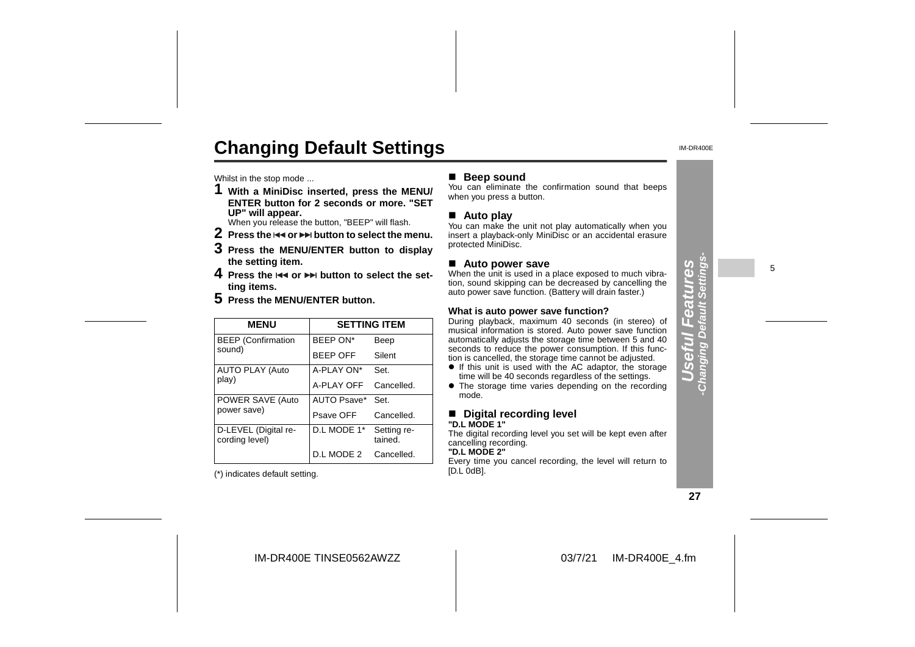# **Changing Default Settings**

Whilst in the stop mode ...

**1 With a MiniDisc inserted, press the MENU/ ENTER button for 2 seconds or more. "SETUP" will appear.**

When you release the button, "BEEP" will flash.

- $2$  Press the  $\leftrightarrow$  or  $\rightarrow$  button to select the menu.
- **3 Press the MENU/ENTER button to display the setting item.**
- **4** Press the **EEE** or  $\blacktriangleright$  button to select the set**ting items.**
- **5 Press the MENU/ENTER button.**

| <b>MENU</b>                            |                 | <b>SETTING ITEM</b>    |
|----------------------------------------|-----------------|------------------------|
| <b>BEEP</b> (Confirmation              | BEEP ON*        | Beep                   |
| sound)                                 | <b>BEEP OFF</b> | Silent                 |
| <b>AUTO PLAY (Auto</b>                 | A-PLAY ON*      | Set.                   |
| play)                                  | A-PLAY OFF      | Cancelled.             |
| POWER SAVE (Auto<br>power save)        | AUTO Psave*     | Set.                   |
|                                        | Psave OFF       | Cancelled.             |
| D-LEVEL (Digital re-<br>cording level) | D.L MODE 1*     | Setting re-<br>tained. |
|                                        | D.L MODE 2      | Cancelled.             |

(\*) indicates default setting.

#### ■ **Beep sound**

You can eliminate the confirmation sound that beeps when you press a button.

#### ■ Auto play

You can make the unit not play automatically when you insert a playback-only MiniDisc or an accidental erasure protected MiniDisc.

#### ■ Auto power save

When the unit is used in a place exposed to much vibration, sound skipping can be decreased by cancelling the auto power save function. (Battery will drain faster.)

#### **What is auto power save function?**

During playback, maximum 40 seconds (in stereo) of musical information is stored. Auto power save function automatically adjusts the storage time between 5 and 40 seconds to reduce the power consumption. If this function is cancelled, the storage time cannot be adjusted.

- If this unit is used with the AC adaptor, the storage time will be 40 seconds regardless of the settings.
- The storage time varies depending on the recording mode.

#### ■ Digital recording level **"D.L MODE 1"**

The digital recording level you set will be kept even after cancelling recording.

#### **"D.L MODE 2"**

 Every time you cancel recording, the level will return to [D.L 0dB].

**27**

**Useful Features -Changing Default Settings-**

E  $\overline{a}$  $\overline{0}$ 

 $\mathbf{d}$ π.

**Changing Default** 

**SƏ** 

IM-DR400E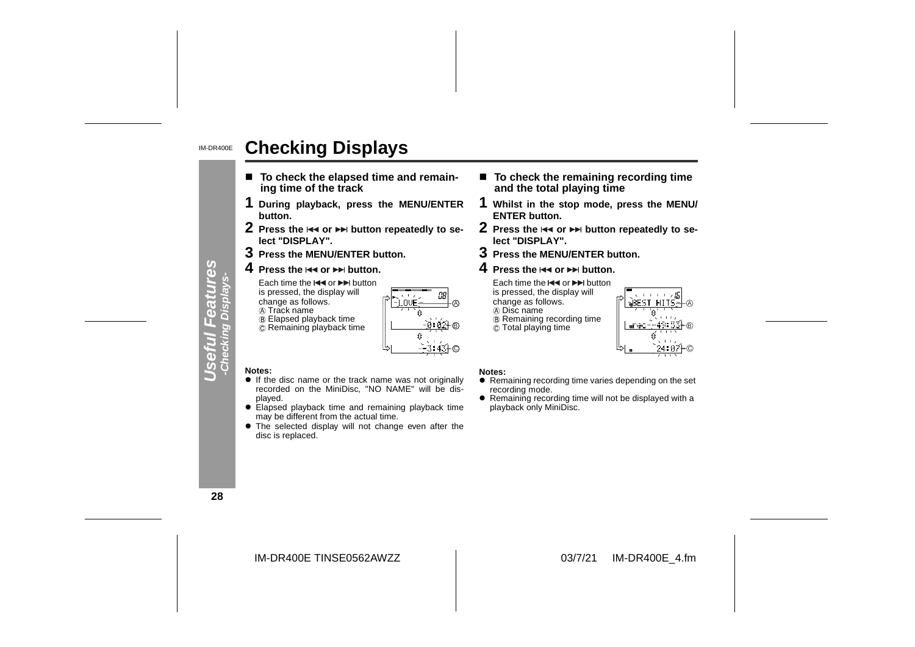#### IM-DR400E**Checking Displays**

- To check the elapsed time and remain**ing time of the track**
- **1 During playback, press the MENU/ENTER button.**
- **2** Press the I◀◀ or ▶▶ button repeatedly to se**lect "DISPLAY".**
- **3 Press the MENU/ENTER button.**
- **4** Press the l◀◀ or ▶▶ button.

Each time the l<< or DDI button is pressed, the display will change as follows.

**A** Track name

 Elapsed playback time Remaining playback time

LOVE

A

B

C

#### **Notes:**

- **.** If the disc name or the track name was not originally recorded on the MiniDisc, "NO NAME" will be displayed.
- Elapsed playback time and remaining playback time may be different from the actual time.
- The selected display will not change even after the disc is replaced.
- To check the remaining recording time **and the total playing time**
- **1 Whilst in the stop mode, press the MENU/ ENTER button.**
- **2** Press the  $\leftrightarrow$  or  $\leftrightarrow$  button repeatedly to se**lect "DISPLAY".**
- **3 Press the MENU/ENTER button.**
- **4** Press the l<< or ▶▶ button.

Each time the  $\blacktriangleleft$  or  $\blacktriangleright$  button is pressed, the display will change as follows. Disc name Remaining recording time  $\ddot{\odot}$  Total playing time



#### **Notes:**

- $\bullet$  Remaining recording time varies depending on the set recording mode.
- Remaining recording time will not be displayed with a playback only MiniDisc.

**28**

**Useful Features -Checking Displays-**

 $\sigma$ 

Œ  $\Box$ 

INIC

**Ces** 

IM-DR400E TINSE0562AWZZ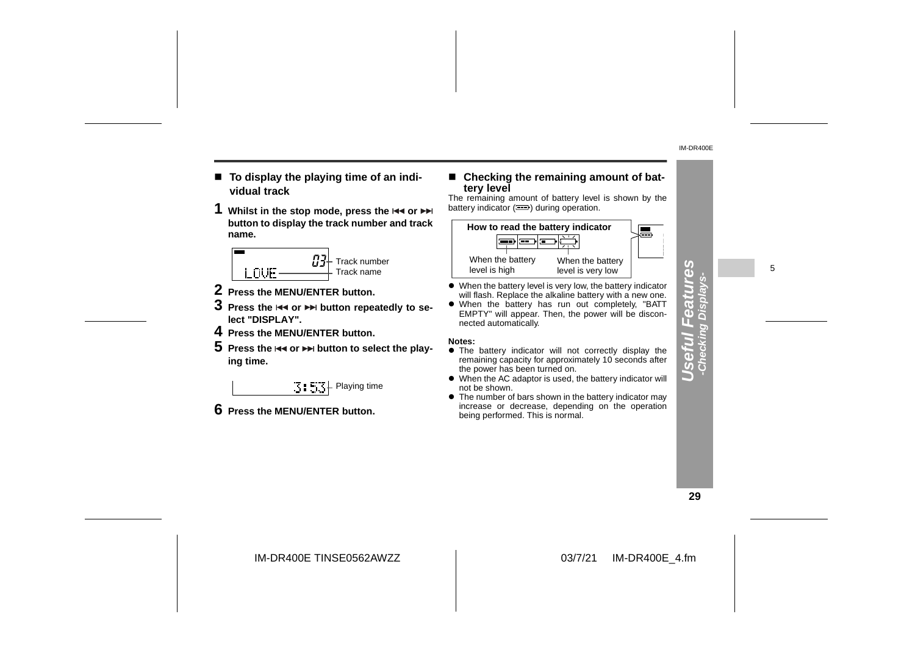- To display the playing time of an indi**vidual track**
- **1** Whilst in the stop mode, press the  $\blacktriangleleft$  or **button to display the track number and track name.**



- **2 Press the MENU/ENTER button.**
- $\bf 3$  Press the  $\bf 3$  or  $\bf 3$  button repeatedly to se**lect "DISPLAY".**
- **4 Press the MENU/ENTER button.**
- ${\bf 5}\,$  Press the  $\Join$  or  $\Join$  button to select the play**ing time.**

 $\mathbb{E}$  :  $\mathbb{E}$   $\mathbb{E}$  Playing time

**6 Press the MENU/ENTER button.**

# ! **Checking the remaining amount of bat- tery level** The remaining amount of battery level is shown by the

battery indicator  $($ <del>.</del>) during operation.



- When the battery level is very low, the battery indicator will flash. Replace the alkaline battery with a new one.
- When the battery has run out completely, "BATT EMPTY" will appear. Then, the power will be disconnected automatically.

#### **Notes:**

- **•** The battery indicator will not correctly display the remaining capacity for approximately 10 seconds after the power has been turned on.
- When the AC adaptor is used, the battery indicator will not be shown.
- $\bullet$  The number of bars shown in the battery indicator may increase or decrease, depending on the operation being performed. This is normal.

**29**

**Useful Features -Checking Displays-**

 $\overline{\mathbf{a}}$  $\overline{0}$ 

cking Dis  $\Box$ 

 $\overline{\mathbb{R}}$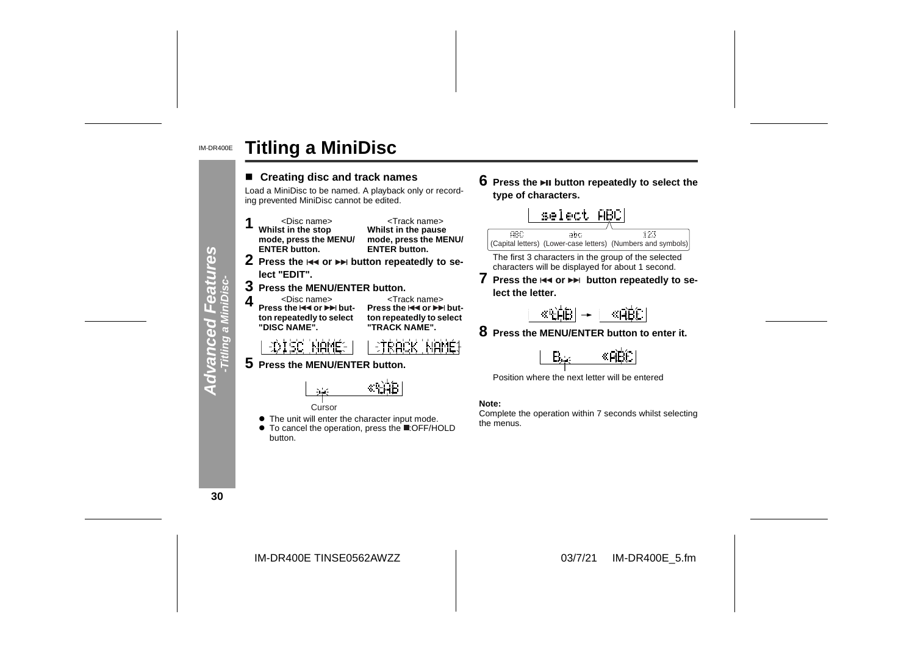#### IM-DR400E**Titling a MiniDisc**



**6** Press the ►Ⅱ button repeatedly to select the **type of characters.**



The first 3 characters in the group of the selected characters will be displayed for about 1 second.

**7** Press the  $\leftrightarrow$  or  $\leftrightarrow$  button repeatedly to se**lect the letter.**

$$
\frac{\langle \mathbb{R}[\hat{\beta}]B \rangle}{\langle \mathbb{R}[\hat{\beta}]B \rangle} \rightarrow \frac{\langle \mathbb{R}[\hat{\beta}]B \rangle}{\langle \mathbb{R}[\hat{\beta}]B \rangle}
$$

**8 Press the MENU/ENTER button to enter it.**



Position where the next letter will be entered

Complete the operation within 7 seconds whilst selecting the menus.

**30**

IM-DR400E TINSE0562AWZZ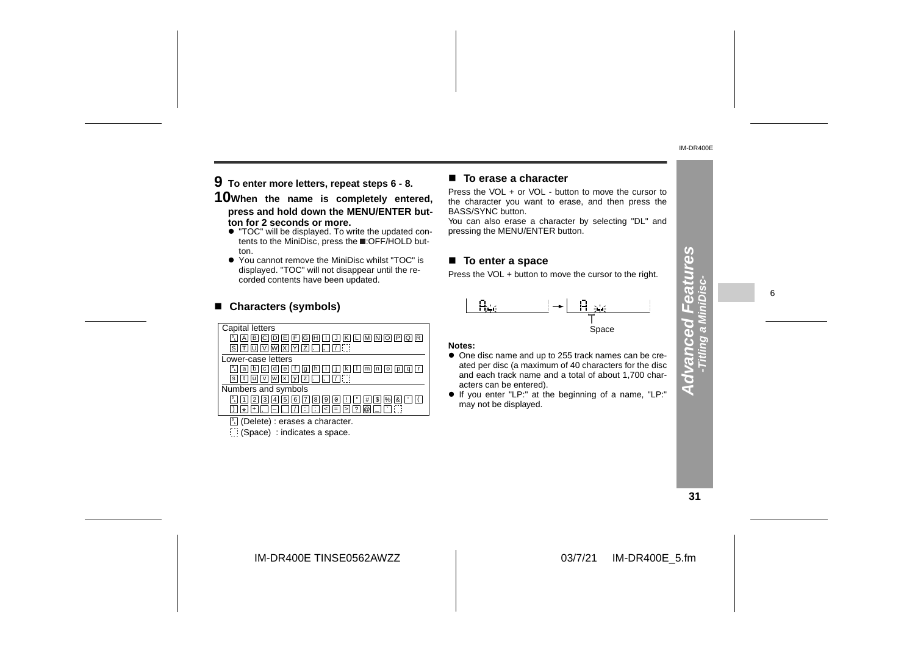**9 To enter more letters, repeat steps 6 - 8.**

**10When the name is completely entered, press and hold down the MENU/ENTER button for 2 seconds or more.**

- " "TOC" will be displayed. To write the updated contents to the MiniDisc, press the **E**:OFF/HOLD button.
- " You cannot remove the MiniDisc whilst "TOC" is displayed. "TOC" will not disappear until the recorded contents have been updated.

| corded contents have been updated.                                                                       | <b>THOSE TO YOU IN DOMESTIC THOTO THE OUTSOF TO THE TIGHT.</b>                                                  |  |
|----------------------------------------------------------------------------------------------------------|-----------------------------------------------------------------------------------------------------------------|--|
| ■ Characters (symbols)                                                                                   |                                                                                                                 |  |
| Capital letters<br>$\boxed{1}$ A B C D E F G H $\boxed{1}$ K $\boxed{1}$ M $\boxed{N}$ D $\boxed{P}$ Q R | Space<br>Notes:                                                                                                 |  |
| Lower-case letters<br><b>P. a b c d e f q h i l i k l m n o p q r</b>                                    | • One disc name and up to 255 track names can be cre-<br>ated per disc (a maximum of 40 characters for the disc |  |

**a** b c d e f g h i J k I m n o p q r  $\overline{\mathbf{s}}$  t  $\overline{\mathbf{u}}$   $\overline{\mathbf{w}}$   $\overline{\mathbf{w}}$   $\overline{\mathbf{x}}$   $\overline{\mathbf{y}}$   $\overline{\mathbf{z}}$   $\overline{\mathbf{v}}$   $\overline{\mathbf{v}}$ 

Numbers and symbols

- 1 | | 2 | | 3 | | 4 | | 5 | | 6 | | 7 | | 8 , ||-||. ||/ Z | 8 | 9 | 0 | L | L' | #<br>: | [; | < | = | > | ? | @ 2 | 3 | 4 | 5 | 6 | 7 | 8 | 9 | 0 | 1 | " | # | \$ | % | & | ' | ' | 1<br>+ | , | — | , | | | | : | ; | < | = | > | ? | @ | \_ | | ` | : 1 | 2 | 3 | 4 | 5 | 6 | 7 | 8 | 9 | 0 | ! | | " | # | \$<br>\* | + | \_ | \_ | \_ | \_ | \_ | ; | ; | < | = | > | ? | @ | 9 | | 0 | | ! | | " | | # | | \$ | |%| | & | | ' ; < <sup>=</sup> % ) <sup>&</sup>gt; ? @ \_ ` **D L**
- **L** (Delete) : erases a character.
- (Space) : indicates a space.

#### ■ To erase a character

Press the VOL + or VOL - button to move the cursor to the character you want to erase, and then press the BASS/SYNC button.

You can also erase a character by selecting "DL" and pressing the MENU/ENTER button.

#### ■ To enter a space

Press the VOL + button to move the cursor to the right.



#### **Notes:**

- One disc name and up to 255 track names can be created per disc (a maximum of 40 characters for the disc and each track name and a total of about 1,700 characters can be entered).
- " If you enter "LP:" at the beginning of a name, "LP:" may not be displayed.

**31**

**Advanced Features**

 $\overline{\mathbf{C}}$ स

 $39$ 

6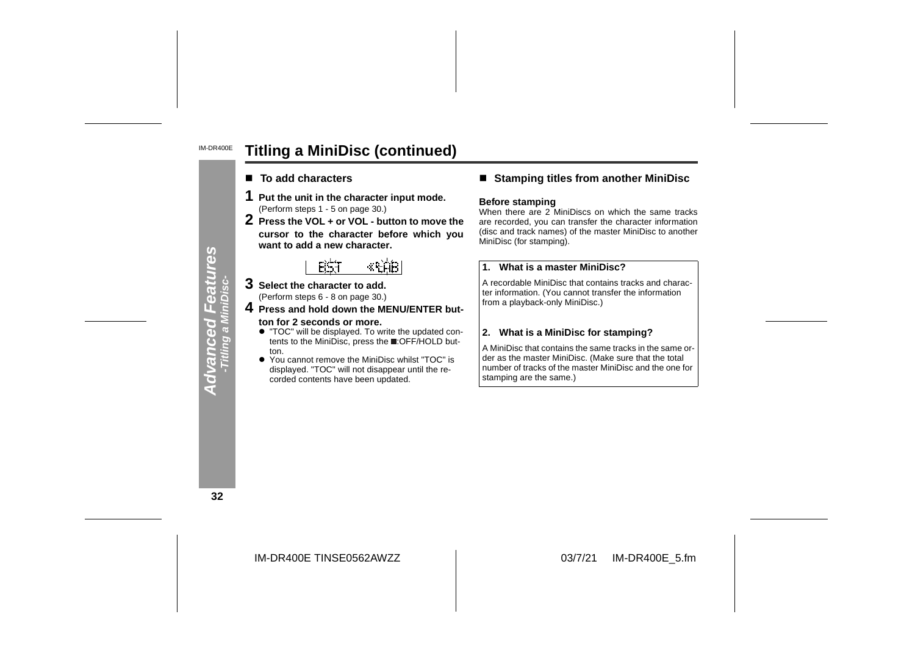#### IM-DR400E**Titling a MiniDisc (continued)**

- To add characters
- 
- 1 Put the unit in the character input mode.<br>
(Perform steps 1 5 on page 30.)<br>
2 Press the VOL + or VOL button to move the<br>
cursor to the character before which you want to add a new character.

- **3 Select the character to add.** (Perform steps 6 - 8 on page 30.)
- **4 Press and hold down the MENU/ENTER but ton for 2 seconds or more.**
	- " "TOC" will be displayed. To write the updated con tents to the MiniDisc, press the :OFF/HOLD button.
	- $\bullet$  You displayed. "TOC" will not disappear until the re-<br>corded contents have been updated.

#### ■ Stamping titles from another MiniDisc

#### **Before stamping**

When there are 2 MiniDiscs on which the same tracks are recorded, you can transfer the character information (disc and track names) of the master MiniDisc to another

**EXAMPLE 1.1** What is a master MiniDisc?<br>
<br>
lect the character to add.<br>
In the character of add.<br>
In the character of add.<br>
<br> **EXAMPLE EXAMPLE EXAMPLE A**<br> **EXAMPLE EXAMPLE EXAMPLE A**<br> **EXAMPLE EXAMPLE EXAMPLE A**<br> **EXAMPLE** 

**32**

**Advanced Features -Titling a MiniDisc-**

a Mil

**Advanced**<br>Titling a Mi

eatures

IM-DR400E TINSE0562AWZZ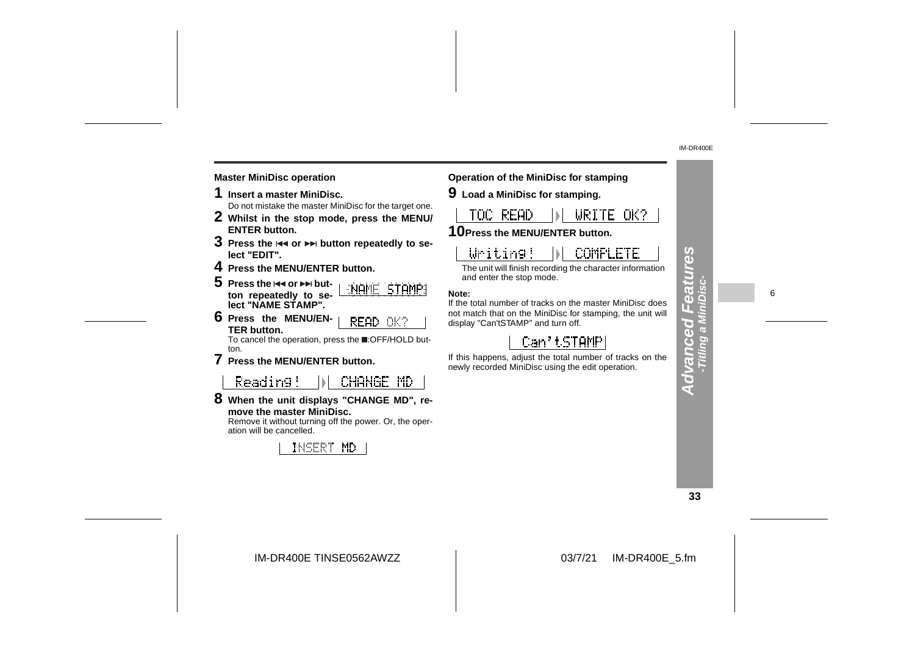#### **Master MiniDisc operation Operation of the MiniDisc for stamping**

- 
- 
- 
- 
- 
- 

Reading! CHANGE MD

**8 When the unit displays "CHANGE MD", remove the master MiniDisc.**

 Remove it without turning off the power. Or, the operation will be cancelled.



1 Insert a master MiniDisc for the target one.<br>
2 Whilst in the stop mode, press the MENU/<br>
ENTER button.<br>
10Press the MENU/ENTER button.<br>
LICE REAL DIRITE ONE<br>
ENTER button is and or  $\triangleright$  button repeatedly to se-<br>
lice **10Press the MENU/ENTER button.**

**9 Load a MiniDisc for stamping.**

The unit will finish recording the character information and enter the stop mode.

**Note:**

If the total number of tracks on the master MiniDisc does not match that on the MiniDisc for stamping, the unit will display "Can'tSTAMP" and turn off.

If this happens, adjust the total number of tracks on the newly recorded MiniDisc using the edit operation.

**33**

**Advanced Features -Titling a MiniDisc-**

**Advanced F** -Titling

mzea

89

6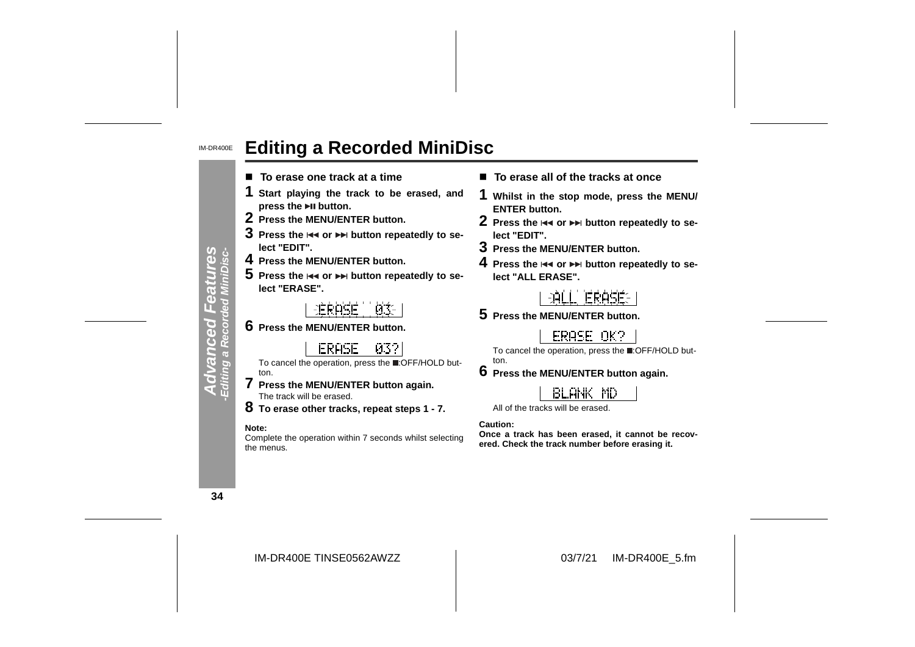#### IM-DR400E**Editing a Recorded MiniDisc**

- To erase one track at a time
- **1 Start playing the track to be erased, and press the button.**
- **2 Press the MENU/ENTER button.**
- $\bf 3$  Press the  $\bf 3$  or  $\bf 3$  button repeatedly to se**lect "EDIT".**
- **4 Press the MENU/ENTER button.**
- ${\bf 5}\,$  Press the  $\Join$  or  $\Join$  button repeatedly to se**lect "ERASE".**
	- 主任良心信任 n...
- **6 Press the MENU/ENTER button.**
	- **ERASE** -032
- To cancel the operation, press the :OFF/HOLD button.
- **7 Press the MENU/ENTER button again.** The track will be erased.
- **8 To erase other tracks, repeat steps 1 7.**

#### **Note:**

Complete the operation within 7 seconds whilst selecting the menus.

- **To erase all of the tracks at once**
- **1 Whilst in the stop mode, press the MENU/ ENTER button.**
- **2** Press the  $\Join$  or ►► button repeatedly to se**lect "EDIT".**
- **3 Press the MENU/ENTER button.**
- **4** Press the I<< or ▶▶ button repeatedly to se**lect "ALL ERASE".**



**5 Press the MENU/ENTER button.**

ERASE OK?

To cancel the operation, press the :OFF/HOLD button.

**6 Press the MENU/ENTER button again.**

## **BLANK MD**

All of the tracks will be erased.

**Caution:**

**Once a track has been erased, it cannot be recovered. Check the track number before erasing it.**

**34**

**Advanced Features -Editing a Recorded MiniDisc-**

peouen

 $\overline{a}$ 

res<br>Visc-

IM-DR400E TINSE0562AWZZ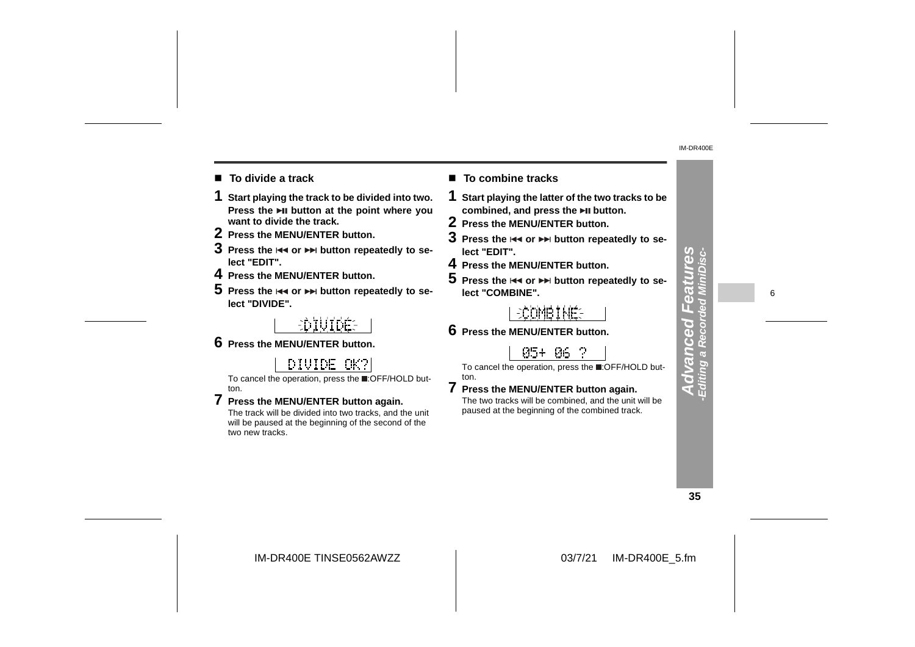- To divide a track
- **1 Start playing the track to be divided into two. Press the button at the point where you want to divide the track.**
- **2 Press the MENU/ENTER button.**
- $\bf 3$  Press the  $\bf 4$  or  $\bf 2$  button repeatedly to se**lect "EDIT".**
- **4 Press the MENU/ENTER button.**
- ${\bf 5}$  Press the  $\Join$  or  $\Join$  button repeatedly to se**lect "DIVIDE".**

# EDIUIDÉE

**6 Press the MENU/ENTER button.**

## DIVIDE OK?

To cancel the operation, press the :OFF/HOLD button.

**7 Press the MENU/ENTER button again.** The track will be divided into two tracks, and the unit will be paused at the beginning of the second of the two new tracks.

#### ■ To combine tracks

- **1 Start playing the latter of the two tracks to be combined, and press the button.**
- **2 Press the MENU/ENTER button.**
- $\bf 3$  Press the  $\bf \bm{\ast} \bf \bm{\ast}$  or  $\bf \bm{\ast} \bf \bm{\ast}$  button repeatedly to se**lect "EDIT".**
- **4 Press the MENU/ENTER button.**
- $\mathbf 5\,$  Press the  $\overline{\mathbf 4\mathbf 4}$  or  $\overline{\mathbf 7\mathbf 7\mathbf 7\mathbf 7}$  button repeatedly to se**lect "COMBINE".**

### **ECOMBINE**

**6 Press the MENU/ENTER button.**

ton.

#### 05+ 06 ?

To cancel the operation, press the **.**OFF/HOLD but-

**7 Press the MENU/ENTER button again.** The two tracks will be combined, and the unit will be paused at the beginning of the combined track.

**35**

**Advanced Features -Editing a Recorded MiniDisc-**

ī. GS Š

iting a dva

 $\frac{3}{5}$ 

**njee** 

6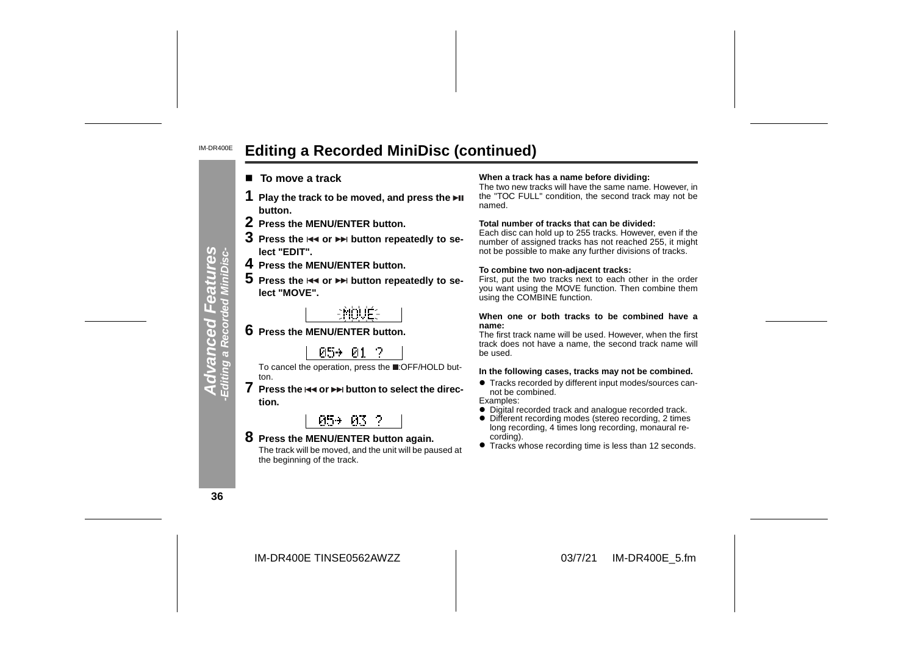#### IM-DR400E**Editing a Recorded MiniDisc (continued)**

- $\blacksquare$  To move a track
- 
- 
- 
- 
- 

**7** Press the  $\leftrightarrow$  or  $\leftrightarrow$  button to select the direc**tion.**

#### 05+ 03 ?

**8 Press the MENU/ENTER button again.** The track will be moved, and the unit will be paused at the beginning of the track.

#### **To move a track When a track has a name before dividing:**

The two new tracks will have the same name. However, in the "TOC FULL" condition, the second track may not be named.

#### **Total number of tracks that can be divided:**

 Each disc can hold up to 255 tracks. However, even if the number of assigned tracks has not reached 255, it might not be possible to make any further divisions of tracks. 1 Play the track to be moved, and press the  $\overline{P}I$ <br>
2 Press the MENU/ENTER button.<br>
3 Press the MENU/ENTER button in mond.<br>
3 Press the MENU/ENTER button repeatedly to se-<br>
lect "EDIT".<br>
In the or  $\overline{P}I$  button repe

#### **To combine two non-adjacent tracks:**

First, put the two tracks next to each other in the order you want using the MOVE function. Then combine them using the COMBINE function.

#### **When one or both tracks to be combined have a name:**

 The first track name will be used. However, when the first track does not have a name, the second track name will be used.

- **Tracks recorded by different input modes/sources can**not be combined.
- Examples:
- Digital recorded track and analogue recorded track.
- Different recording modes (stereo recording, 2 times long recording, 4 times long recording, monaural recording).
- Tracks whose recording time is less than 12 seconds.

**36**

**Advanced Features -Editing a Recorded MiniDisc-**

**Advanced I**<br>Editing a Record

tures<br>iniDisc-

eatul<br>d Mini£

IM-DR400E TINSE0562AWZZ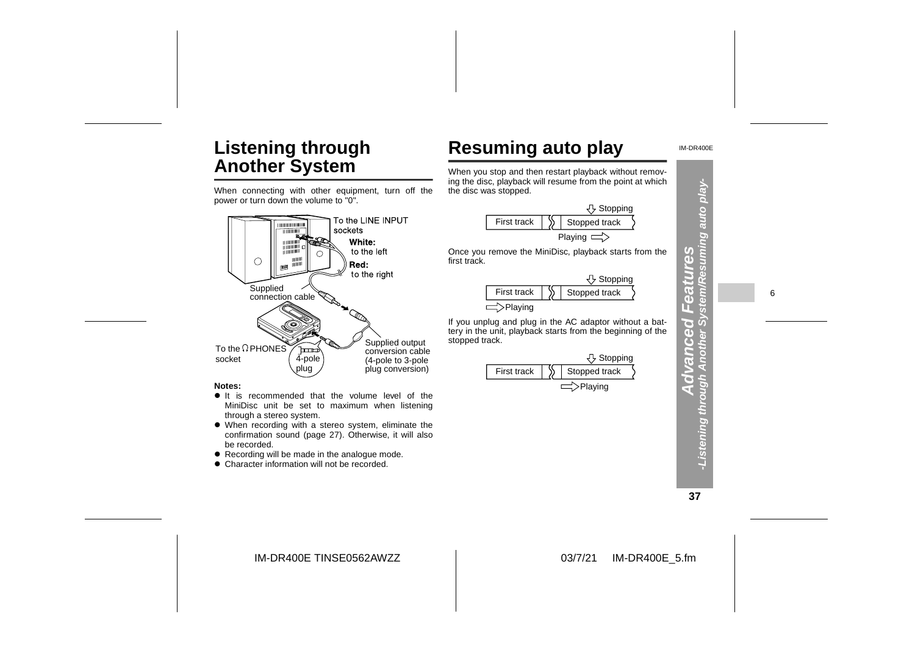# **Listening through Another System**

When connecting with other equipment, turn off the power or turn down the volume to "0".



#### **Notes:**

- $\bullet$  It is recommended that the volume level of the MiniDisc unit be set to maximum when listening through a stereo system.
- When recording with a stereo system, eliminate the confirmation sound (page 27). Otherwise, it will also be recorded.
- $\bullet$  Recording will be made in the analogue mode.
- Character information will not be recorded.



|             | Stopping      |
|-------------|---------------|
| First track | Stopped track |
|             |               |



IM-DR400E

**37**

**Advanced Features -Listening through Another System/Resuming auto play-**

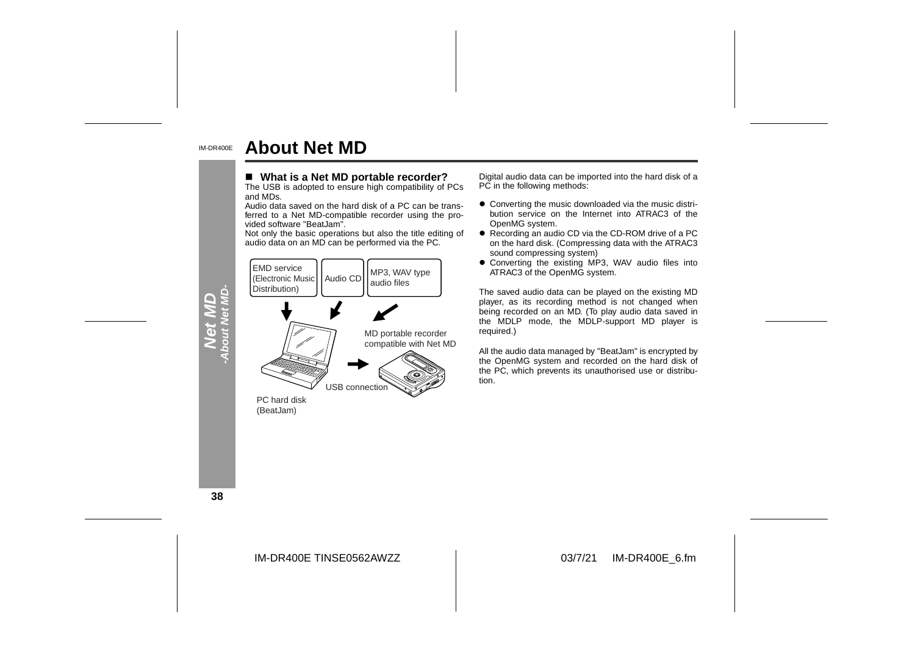#### IM-DR400E**About Net MD**

#### ■ What is a Net MD portable recorder?

The USB is adopted to ensure high compatibility of PCs and MDs.

 Audio data saved on the hard disk of a PC can be trans ferred to a Net MD-compatible recorder using the pro vided software "BeatJam".

Not only the basic operations but also the title editing of



- What is a Net MD portable recorder?<br>
The USB is adopted to ensure high compatibility of PCs<br>
Audio data can be imported into the hard disk of a<br>
Audio data saved on the hard disk of a PC can be trans-<br>
Audio data saved
	- sound compressing system)
	- Converting the existing MP3, WAV audio files into ATRAC3 of the OpenMG system.

The saved audio data can be played on the existing MD player, as its recording method is not changed when being recorded on an MD. (To play audio data saved in the MDLP mode, the MDLP-support MD player is required.)

All the audio data managed by "BeatJam" is encrypted by the OpenMG system and recorded on the hard disk of the PC, which prevents its unauthorised use or distribution.

**38**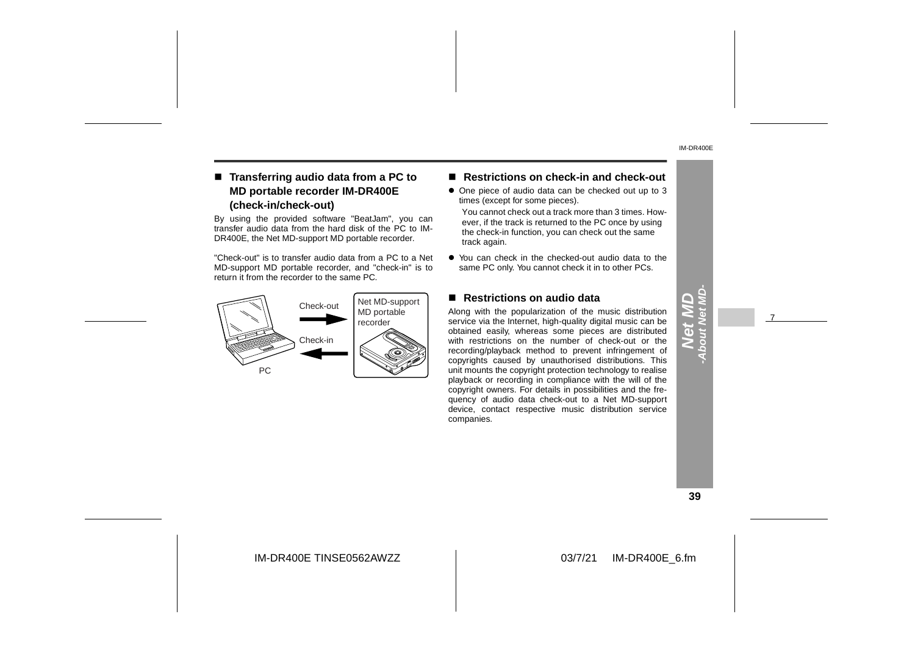#### ■ Transferring audio data from a PC to **MD portable recorder IM-DR400E (check-in/check-out)**

By using the provided software "BeatJam", you can transfer audio data from the hard disk of the PC to IM-DR400E, the Net MD-support MD portable recorder.

"Check-out" is to transfer audio data from a PC to a Net MD-support MD portable recorder, and "check-in" is to return it from the recorder to the same PC.



#### ■ Restrictions on check-in and check-out

- One piece of audio data can be checked out up to 3 times (except for some pieces).
- You cannot check out a track more than 3 times. However, if the track is returned to the PC once by using the check-in function, you can check out the same track again.
- You can check in the checked-out audio data to the same PC only. You cannot check it in to other PCs.

#### ■ Restrictions on audio data

Along with the popularization of the music distribution service via the Internet, high-quality digital music can be obtained easily, whereas some pieces are distributed with restrictions on the number of check-out or the recording/playback method to prevent infringement of copyrights caused by unauthorised distributions. This unit mounts the copyright protection technology to realise playback or recording in compliance with the will of the copyright owners. For details in possibilities and the frequency of audio data check-out to a Net MD-support device, contact respective music distribution service companies.

#### **39**

**Net MD -About Net MD-**

7

IM-DR400E TINSE0562AWZZ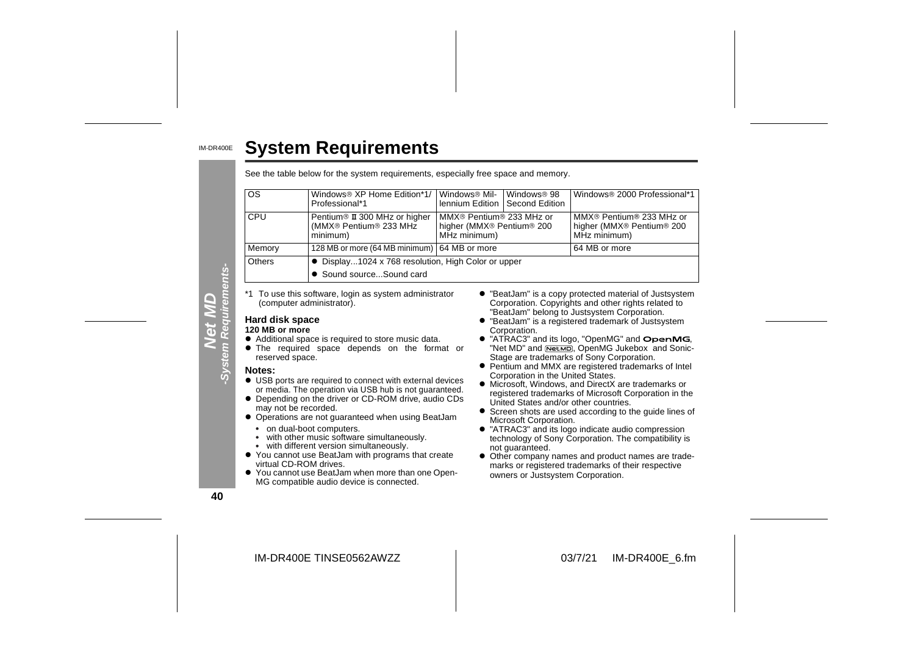| <b>System Requirements</b>                                                                |                                                                                     |                                                                                               |                                           |                                                                                                               |  |  |  |
|-------------------------------------------------------------------------------------------|-------------------------------------------------------------------------------------|-----------------------------------------------------------------------------------------------|-------------------------------------------|---------------------------------------------------------------------------------------------------------------|--|--|--|
|                                                                                           | See the table below for the system requirements, especially free space and memory.  |                                                                                               |                                           |                                                                                                               |  |  |  |
| <b>OS</b>                                                                                 | Windows <sup>®</sup> XP Home Edition*1/<br>Professional*1                           | Windows <sup>®</sup> Mil-<br>lennium Edition                                                  | Windows <sup>®</sup> 98<br>Second Edition | Windows <sup>®</sup> 2000 Professional*1                                                                      |  |  |  |
| CPU                                                                                       | Pentium <sup>®</sup> II 300 MHz or higher<br>(MMX® Pentium® 233 MHz<br>minimum)     | MMX® Pentium® 233 MHz or<br>higher (MMX <sup>®</sup> Pentium <sup>®</sup> 200<br>MHz minimum) |                                           | MMX® Pentium® 233 MHz or<br>higher (MMX <sup>®</sup> Pentium <sup>®</sup> 200<br>MHz minimum)                 |  |  |  |
| Memory                                                                                    | 128 MB or more (64 MB minimum)   64 MB or more                                      |                                                                                               |                                           | 64 MB or more                                                                                                 |  |  |  |
| Others<br>• Display1024 x 768 resolution, High Color or upper<br>• Sound sourceSound card |                                                                                     |                                                                                               |                                           |                                                                                                               |  |  |  |
|                                                                                           | *1 To use this software, login as system administrator<br>(computer administrator). |                                                                                               |                                           | • "BeatJam" is a copy protected material of Justsystem<br>Corporation. Copyrights and other rights related to |  |  |  |
| Hard disk space                                                                           |                                                                                     |                                                                                               |                                           | "BeatJam" belong to Justsystem Corporation.<br>• "BeatJam" is a registered trademark of Justsystem            |  |  |  |

#### **120 MB or more**

- $\bullet$  Additional space is required to store music data.
- **•** The required space depends on the format or reserved space.

#### **Notes:**

- $\bullet$  USB ports are required to connect with external devices or media. The operation via USB hub is not guaranteed.
- Depending on the driver or CD-ROM drive, audio CDs may not be recorded.
- **Operations are not guaranteed when using BeatJam** • on dual-boot computers.
- with other music software simultaneously.
- with different version simultaneously.  $\bullet$
- You cannot use BeatJam with programs that create virtual CD-ROM drives.
- $\bullet$  You cannot use BeatJam when more than one Open-MG compatible audio device is connected.
- " "BeatJam" is a copy protected material of Justsystem Corporation. Copyrights and other rights related to "BeatJam" belong to Justsystem Corporation.
- " "BeatJam" is a registered trademark of Justsystem Corporation.
- $\bullet$  "ATRAC3" and its logo, "OpenMG" and  $\bullet$  penMG, "Net MD" and NetMD, OpenMG Jukebox and Sonic-Stage are trademarks of Sony Corporation.
- Pentium and MMX are registered trademarks of Intel Corporation in the United States.
- $\bullet$  Microsoft, Windows, and DirectX are trademarks or registered trademarks of Microsoft Corporation in the United States and/or other countries.
- **•** Screen shots are used according to the guide lines of Microsoft Corporation.
- "ATRAC3" and its logo indicate audio compression technology of Sony Corporation. The compatibility is not guaranteed.
- Other company names and product names are trademarks or registered trademarks of their respective owners or Justsystem Corporation.

**40**

**Net MD -System Requirements-**

ents-

**System Re** 

IM-DR400E TINSE0562AWZZ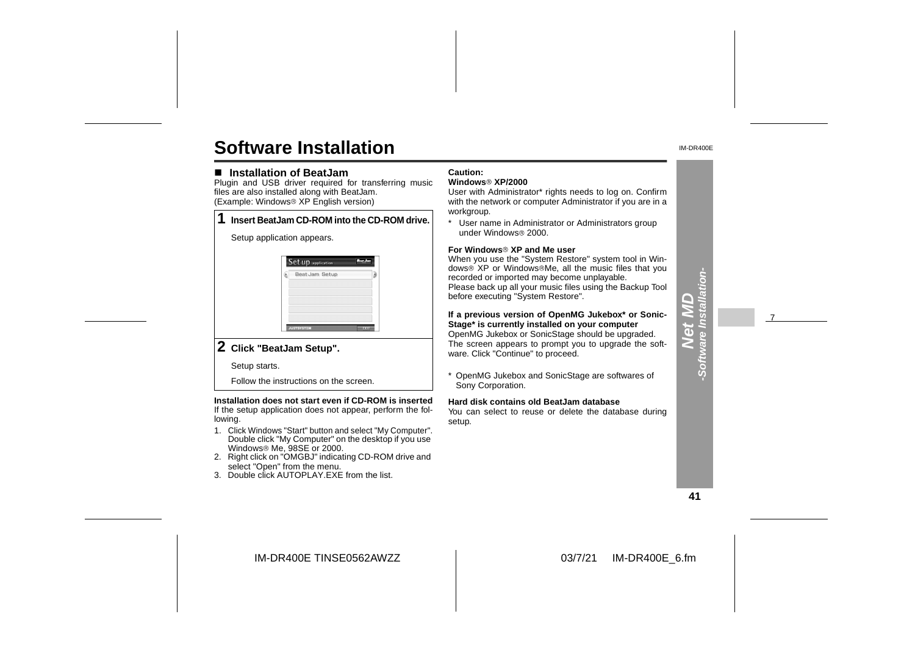# **Software Installation**

#### ■ Installation of BeatJam

 Plugin and USB driver required for transferring music files are also installed along with BeatJam. (Example: Windows<sup>®</sup> XP English version)

|  | Insert BeatJam CD-ROM into the CD-ROM drive.                                          |
|--|---------------------------------------------------------------------------------------|
|  | Setup application appears.                                                            |
|  | <b>Set up</b> application<br>Beat Jam Setup<br>Þ.<br><b>JUSTSYSTEM</b><br><b>DOLL</b> |
|  |                                                                                       |

#### **2 Click "BeatJam Setup".**

Setup starts.

Follow the instructions on the screen.

**Installation does not start even if CD-ROM is inserted** If the setup application does not appear, perform the following.

- 1. Click Windows "Start" button and select "My Computer". Double click "My Computer" on the desktop if you use Windows<sup>®</sup> Me, 98SE or 2000.
- 2. Right click on "OMGBJ" indicating CD-ROM drive and select "Open" from the menu.
- 3. Double click AUTOPLAY.EXE from the list.

#### **Caution:**

#### **Windows XP/2000**

 User with Administrator\* rights needs to log on. Confirm with the network or computer Administrator if you are in a workgroup.

\* User name in Administrator or Administrators group under Windows<sup>®</sup> 2000.

#### **For Windows XP and Me user**

 When you use the "System Restore" system tool in Windows<sup>®</sup> XP or Windows<sup>®</sup>Me, all the music files that you recorded or imported may become unplayable. Please back up all your music files using the Backup Tool before executing "System Restore".

**If a previous version of OpenMG Jukebox\* or Sonic-Stage\* is currently installed on your computer** OpenMG Jukebox or SonicStage should be upgraded. The screen appears to prompt you to upgrade the software. Click "Continue" to proceed.

\* OpenMG Jukebox and SonicStage are softwares of Sony Corporation.

#### **Hard disk contains old BeatJam database**

You can select to reuse or delete the database during setup.

**41**

 $\overline{d}$ **-Software Installation-**

 $\frac{1}{2}$ 

-Softw

7

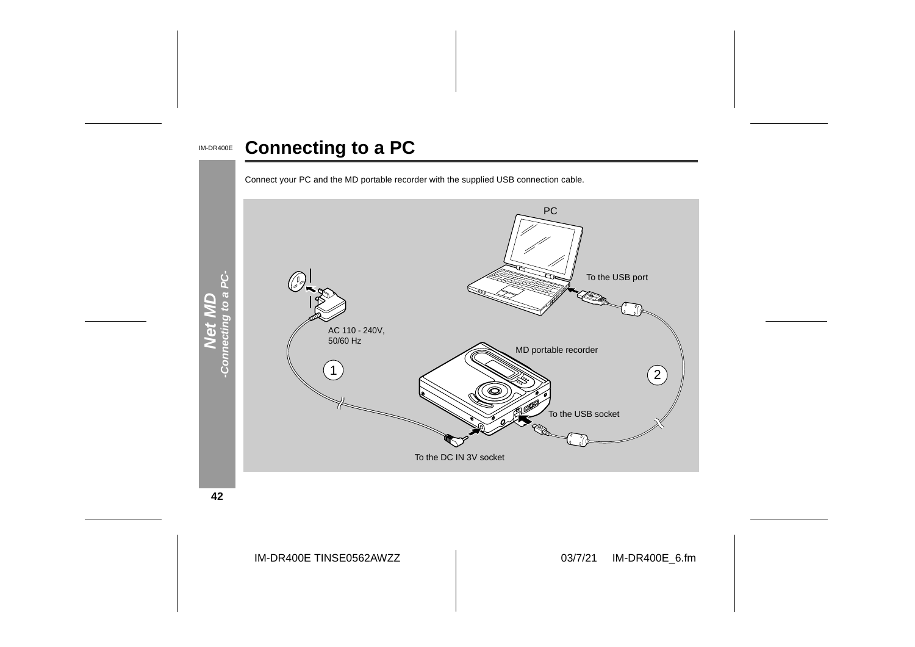#### IM-DR400E **Connecting to a PC**





**42**

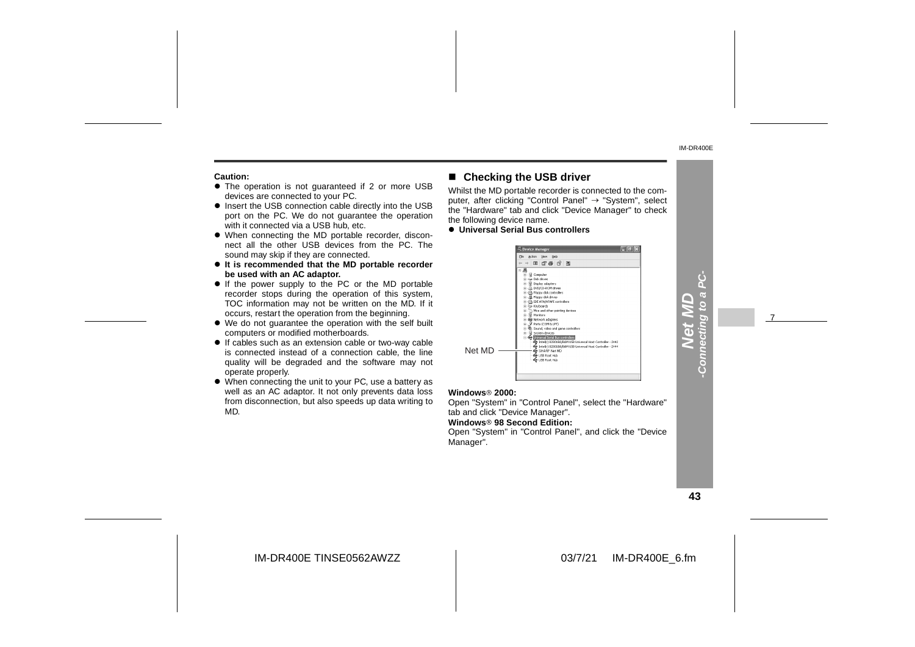#### **Caution:**

- $\bullet$  The operation is not guaranteed if 2 or more USB devices are connected to your PC.
- $\bullet$  Insert the USB connection cable directly into the USB port on the PC. We do not quarantee the operation with it connected via a USB hub, etc.
- When connecting the MD portable recorder, disconnect all the other USB devices from the PC. Thesound may skip if they are connected.
- **It is recommended that the MD portable recorder be used with an AC adaptor.**
- If the power supply to the PC or the MD portable recorder stops during the operation of this system, TOC information may not be written on the MD. If it occurs, restart the operation from the beginning.
- We do not guarantee the operation with the self built computers or modified motherboards.
- If cables such as an extension cable or two-way cable is connected instead of a connection cable, the line quality will be degraded and the software may not operate properly.
- When connecting the unit to your PC, use a battery as well as an AC adaptor. It not only prevents data loss from disconnection, but also speeds up data writing to MD.

#### ■ Checking the USB driver

Whilst the MD portable recorder is connected to the computer, after clicking "Control Panel"  $\rightarrow$  "System", select the "Hardware" tab and click "Device Manager" to check the following device name.

#### $\bullet$  **Universal Serial Bus controllers**



#### **Windows 2000:**

 Open "System" in "Control Panel", select the "Hardware" tab and click "Device Manager". **Windows 98 Second Edition:**Open "System" in "Control Panel", and click the "Device Manager".

**43**

**Net MD -Connecting to a PC-**

Conn

7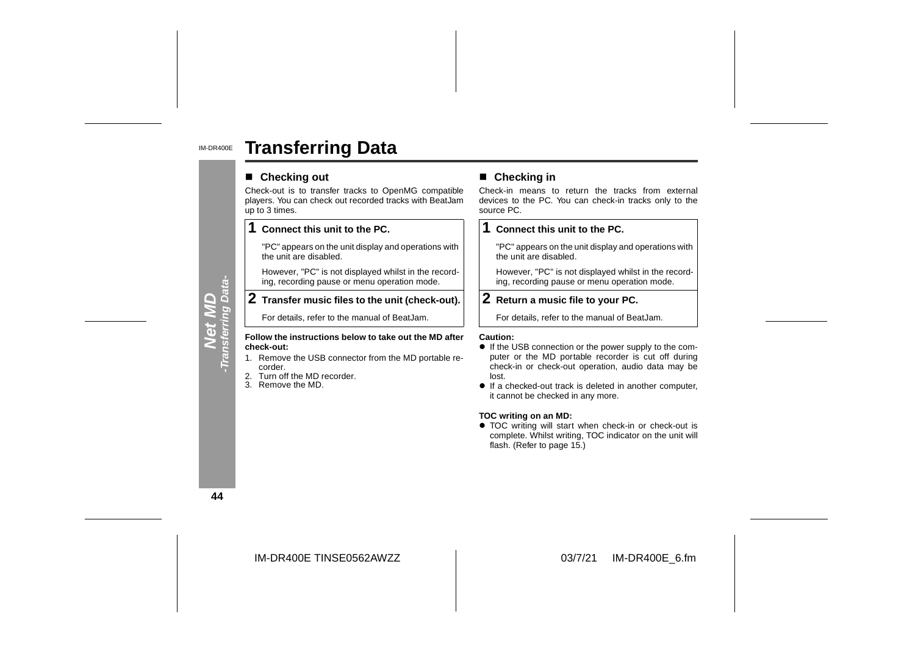#### IM-DR400E**Transferring Data**

#### ■ Checking out

Check-out is to transfer tracks to OpenMG compatible players. You can check out recorded tracks with BeatJam up to 3 times.

#### **1Connect this unit to the PC.**

"PC" appears on the unit display and operations with the unit are disabled.

However, "PC" is not displayed whilst in the recording, recording pause or menu operation mode.

#### **2 Transfer music files to the unit (check-out).**

For details, refer to the manual of BeatJam.

#### **Follow the instructions below to take out the MD after check-out:**

- 1. Remove the USB connector from the MD portable recorder.
- 2. Turn off the MD recorder.
- 3. Remove the MD.

**Example 19 Checking in**<br>
It is to transfer tracks to OpenMG compatible<br>
Using the PC. You can check-in tracks only to the<br>
es.<br> **Example 2.**<br> **Example 2.**<br> **Example 2.**<br> **Example 2.**<br> **Example 2.**<br> **Example 2.**<br> **Example** 

#### **1 Connect this unit to the PC.**

"PC" appears on the unit display and operations with the unit are disabled.

However, "PC" is not displayed whilst in the recording, recording pause or menu operation mode.

#### **2 Return a music file to your PC.**

For details, refer to the manual of BeatJam.

- If the USB connection or the power supply to the com puter or the MD portable recorder is cut off during check-in or check-out operation, audio data may be lost.
- If a checked-out track is deleted in another computer, it cannot be checked in any more.

#### **TOC writing on an MD:**

• TOC writing will start when check-in or check-out is complete. Whilst writing, TOC indicator on the unit will flash. (Refer to page 15.)

**44**

**Net MD**<br>Transferring Data-**-Transferring Data-**

IM-DR400E TINSE0562AWZZ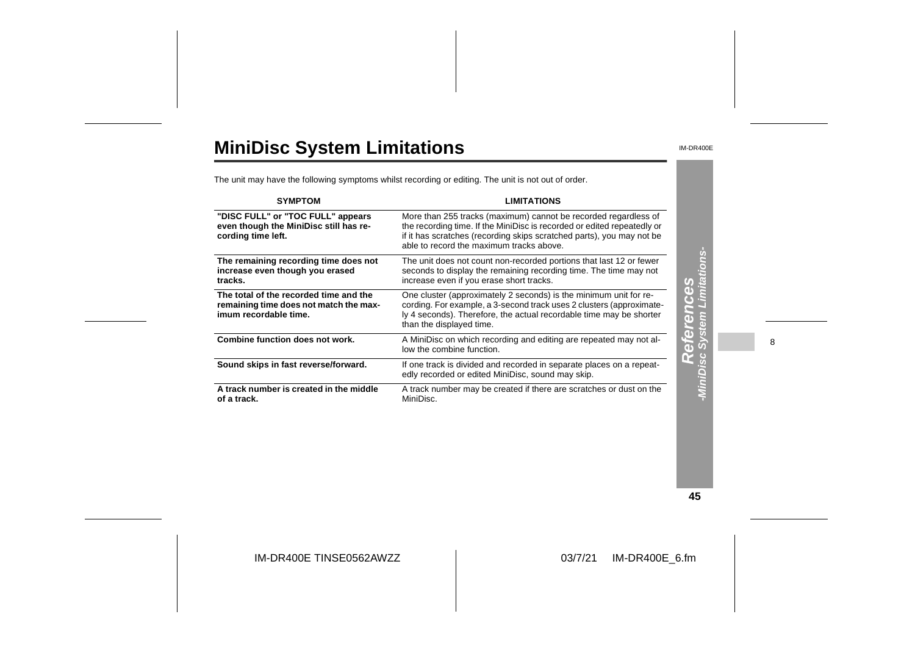# **MiniDisc System Limitations**

IM-DR400E

The unit may have the following symptoms whilst recording or editing. The unit is not out of order.

| <b>SYMPTOM</b>                                                                                            | <b>LIMITATIONS</b>                                                                                                                                                                                                                                              |                                                                                   |   |
|-----------------------------------------------------------------------------------------------------------|-----------------------------------------------------------------------------------------------------------------------------------------------------------------------------------------------------------------------------------------------------------------|-----------------------------------------------------------------------------------|---|
| "DISC FULL" or "TOC FULL" appears<br>even though the MiniDisc still has re-<br>cording time left.         | More than 255 tracks (maximum) cannot be recorded regardless of<br>the recording time. If the MiniDisc is recorded or edited repeatedly or<br>if it has scratches (recording skips scratched parts), you may not be<br>able to record the maximum tracks above. |                                                                                   |   |
| The remaining recording time does not<br>increase even though you erased<br>tracks.                       | The unit does not count non-recorded portions that last 12 or fewer<br>seconds to display the remaining recording time. The time may not<br>increase even if you erase short tracks.                                                                            |                                                                                   |   |
| The total of the recorded time and the<br>remaining time does not match the max-<br>imum recordable time. | One cluster (approximately 2 seconds) is the minimum unit for re-<br>cording. For example, a 3-second track uses 2 clusters (approximate-<br>ly 4 seconds). Therefore, the actual recordable time may be shorter<br>than the displayed time.                    | <b>nces<br/>Limitat</b><br>$\left( \mathbf{d} \right)$<br>$\overline{\textbf{d}}$ |   |
| Combine function does not work.                                                                           | A MiniDisc on which recording and editing are repeated may not al-<br>low the combine function.                                                                                                                                                                 | $\left($ b                                                                        | 8 |
| Sound skips in fast reverse/forward.                                                                      | If one track is divided and recorded in separate places on a repeat-<br>edly recorded or edited MiniDisc, sound may skip.                                                                                                                                       |                                                                                   |   |
| A track number is created in the middle<br>of a track.                                                    | A track number may be created if there are scratches or dust on the<br>MiniDisc.                                                                                                                                                                                |                                                                                   |   |

**45**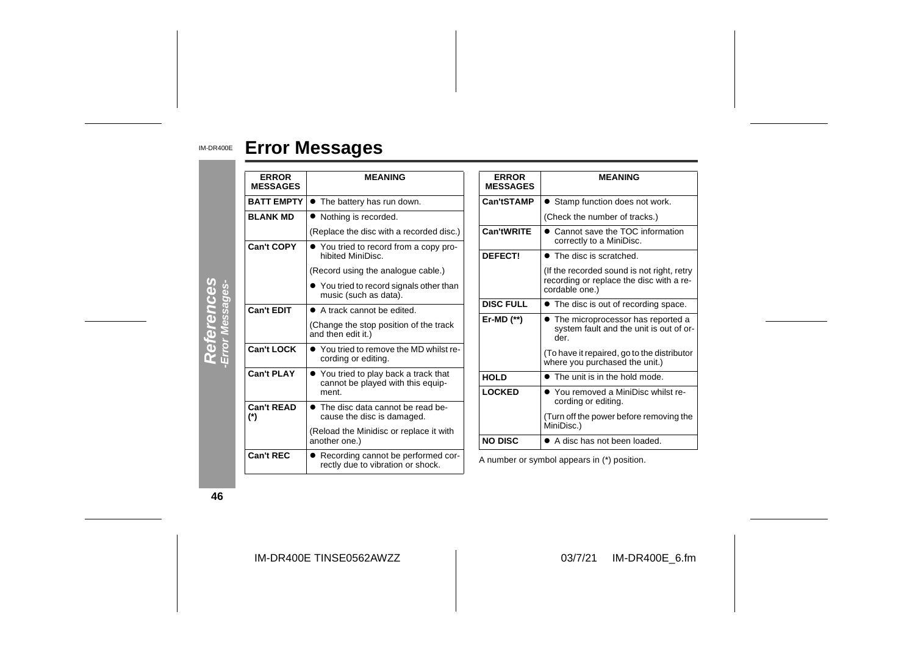#### IM-DR400E **Error Messages**

| <b>ERROR</b><br><b>MESSAGES</b> | <b>MEANING</b>                                                             | <b>ERROR</b><br><b>MESSAGES</b> | <b>MEANING</b>                                                                         |  |
|---------------------------------|----------------------------------------------------------------------------|---------------------------------|----------------------------------------------------------------------------------------|--|
| <b>BATT EMPTY</b>               | • The battery has run down.                                                | Can'tSTAMP                      | • Stamp function does not work.                                                        |  |
| <b>BLANK MD</b>                 | • Nothing is recorded.                                                     |                                 | (Check the number of tracks.)                                                          |  |
|                                 | (Replace the disc with a recorded disc.)                                   | Can'tWRITE                      | • Cannot save the TOC information<br>correctly to a MiniDisc.                          |  |
| <b>Can't COPY</b>               | • You tried to record from a copy pro-<br>hibited MiniDisc.                | DEFECT!                         | • The disc is scratched.                                                               |  |
|                                 | (Record using the analogue cable.)                                         |                                 | (If the recorded sound is not right, retry                                             |  |
|                                 | • You tried to record signals other than<br>music (such as data).          |                                 | recording or replace the disc with a re-<br>cordable one.)                             |  |
| <b>Can't EDIT</b>               | • A track cannot be edited.                                                | <b>DISC FULL</b>                | • The disc is out of recording space.                                                  |  |
|                                 | (Change the stop position of the track<br>and then edit it.)               | Er-MD $(*)$                     | • The microprocessor has reported a<br>system fault and the unit is out of or-<br>der. |  |
| <b>Can't LOCK</b>               | • You tried to remove the MD whilst re-<br>cording or editing.             |                                 | (To have it repaired, go to the distributor<br>where you purchased the unit.)          |  |
| <b>Can't PLAY</b>               | • You tried to play back a track that<br>cannot be played with this equip- | <b>HOLD</b>                     | • The unit is in the hold mode.                                                        |  |
|                                 | ment.                                                                      | <b>LOCKED</b>                   | • You removed a MiniDisc whilst re-<br>cording or editing.                             |  |
| <b>Can't READ</b><br>$(*)$      | • The disc data cannot be read be-<br>cause the disc is damaged.           |                                 | (Turn off the power before removing the<br>MiniDisc.)                                  |  |
|                                 | (Reload the Minidisc or replace it with<br>another one.)                   | <b>NO DISC</b>                  | • A disc has not been loaded.                                                          |  |
| Can't REC                       | • Recording cannot be performed cor-<br>rectly due to vibration or shock.  |                                 | A number or symbol appears in (*) position.                                            |  |

**46**

IM-DR400E TINSE0562AWZZ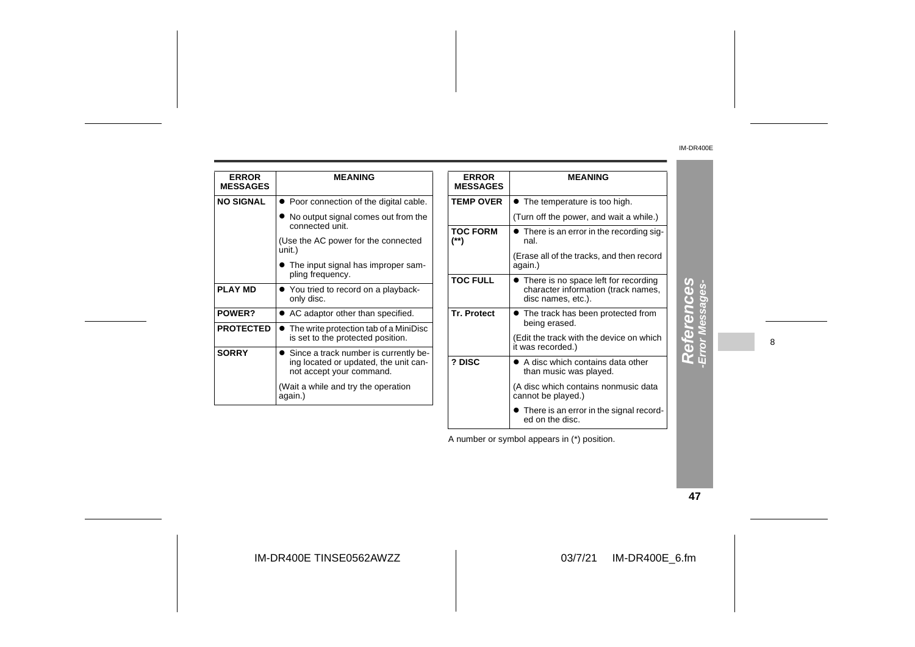| <b>ERROR</b><br><b>MESSAGES</b> | <b>MEANING</b>                                                                                               | <b>ERROR</b><br><b>MESSAGES</b> | <b>MEANING</b>                                                                                      |
|---------------------------------|--------------------------------------------------------------------------------------------------------------|---------------------------------|-----------------------------------------------------------------------------------------------------|
| <b>NO SIGNAL</b>                | • Poor connection of the digital cable.                                                                      | <b>TEMP OVER</b>                | • The temperature is too high.                                                                      |
|                                 | • No output signal comes out from the<br>connected unit.                                                     |                                 | (Turn off the power, and wait a while.)                                                             |
|                                 | (Use the AC power for the connected                                                                          | <b>TOC FORM</b><br>(**)         | • There is an error in the recording sig-<br>nal.                                                   |
|                                 | unit.)<br>• The input signal has improper sam-                                                               |                                 | (Erase all of the tracks, and then record<br>again.)                                                |
| <b>PLAY MD</b>                  | pling frequency.<br>• You tried to record on a playback-<br>only disc.                                       | <b>TOC FULL</b>                 | • There is no space left for recording<br>character information (track names,<br>disc names, etc.). |
| POWER?                          | • AC adaptor other than specified.                                                                           | <b>Tr. Protect</b>              | • The track has been protected from                                                                 |
| <b>PROTECTED</b>                | • The write protection tab of a MiniDisc<br>is set to the protected position.                                |                                 | being erased.<br>(Edit the track with the device on which<br>it was recorded.)                      |
| <b>SORRY</b>                    | • Since a track number is currently be-<br>ing located or updated, the unit can-<br>not accept your command. | ? DISC                          | • A disc which contains data other<br>than music was played.                                        |
|                                 | (Wait a while and try the operation<br>again.)                                                               |                                 | (A disc which contains nonmusic data<br>cannot be played.)                                          |
|                                 |                                                                                                              |                                 | • There is an error in the signal record-                                                           |

References **References -Error Messages-**

8

A number or symbol appears in (\*) position.

ed on the disc.

**47**

IM-DR400E TINSE0562AWZZ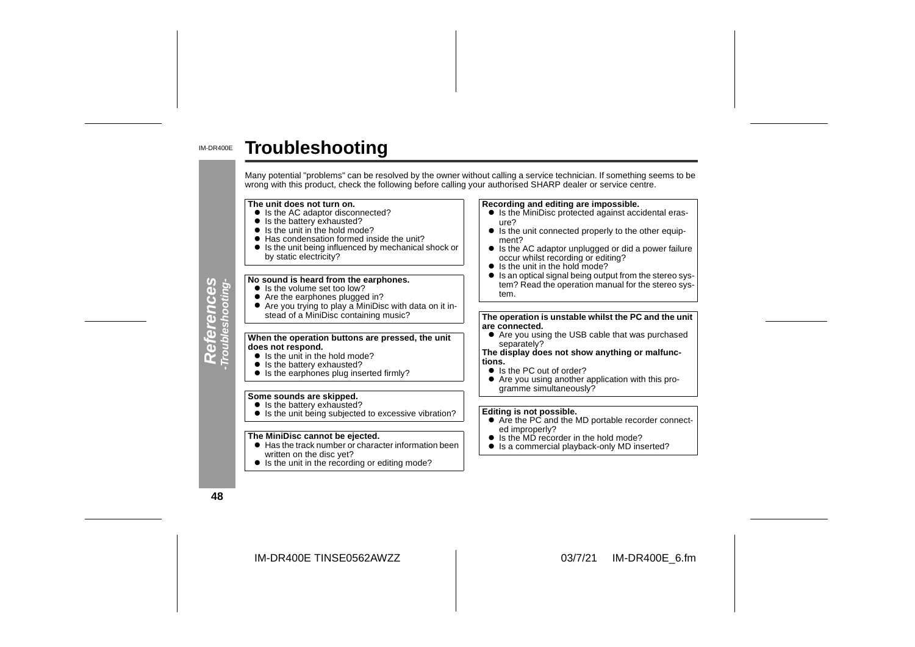#### IM-DR400E**Troubleshooting**

Many potential "problems" can be resolved by the owner without calling a service technician. If something seems to be wrong with this product, check the following before calling your authorised SHARP dealer or service cent

#### **The unit does not turn on.**

- $\bullet$  Is the AC adaptor disconnected?
- Is the battery exhausted?
- Is the unit in the hold mode?
- Has condensation formed inside the unit?
- " Is the unit being influenced by mechanical shock or by static electricity?

#### **No sound is heard from the earphones.**

- Is the volume set too low?
- 
- Are the earphones plugged in?<br>● Are you trying to play a MiniDisc with data on it instead of a MiniDisc containing music?

## **When the operation buttons are pressed, the unit does not respond.**

- Is the unit in the hold mode?
- Is the battery exhausted?
- Is the earphones plug inserted firmly?

#### **Some sounds are skipped.**

- Is the battery exhausted?
- Is the unit being subjected to excessive vibration?

#### **The MiniDisc cannot be ejected.**

- $\bullet$  Has the track number or character information been written on the disc yet?
- Is the unit in the recording or editing mode?

#### **Recording and editing are impossible.**

- Is the MiniDisc protected against accidental erasure?
- $\bullet$  Is the unit connected properly to the other equipment?
- $\bullet$  Is the AC adaptor unplugged or did a power failure occur whilst recording or editing?
- Is the unit in the hold mode?
- Is an optical signal being output from the stereo system? Read the operation manual for the stereo system.

**The operation is unstable whilst the PC and the unit are connected.**

 $\bullet$  Are you using the USB cable that was purchased separately?

#### **The display does not show anything or malfunctions.**

- $\bullet$  Is the PC out of order?
- Are you using another application with this programme simultaneously?

#### **Editing is not possible.**

- Are the PC and the MD portable recorder connected improperly?
- Is the MD recorder in the hold mode?
- Is a commercial playback-only MD inserted?

**48**

**References -Troubleshooting-**

References<br>Troubleshooting-

IM-DR400E TINSE0562AWZZ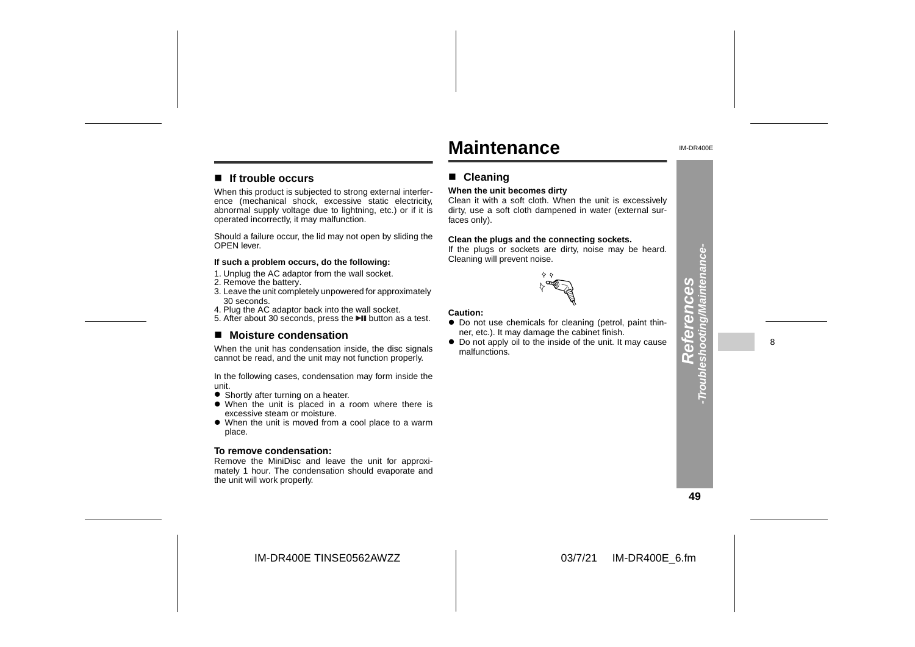# **Maintenance**

**When the unit becomes dirty**

Cleaning will prevent noise.

■ Cleaning

faces only).

IM-DR400E

#### ■ If trouble occurs

When this product is subjected to strong external interference (mechanical shock, excessive static electricity, abnormal supply voltage due to lightning, etc.) or if it is operated incorrectly, it may malfunction.

Should a failure occur, the lid may not open by sliding the OPEN lever.

#### **If such a problem occurs, do the following:**

- 1. Unplug the AC adaptor from the wall socket.
- 2. Remove the battery.
- 3. Leave the unit completely unpowered for approximately 30 seconds.
- 4. Plug the AC adaptor back into the wall socket.
- 5. After about 30 seconds, press the ►II button as a test.

#### ■ Moisture condensation

When the unit has condensation inside, the disc signals cannot be read, and the unit may not function properly.

In the following cases, condensation may form inside the unit.

- **•** Shortly after turning on a heater.
- When the unit is placed in a room where there is excessive steam or moisture.
- When the unit is moved from a cool place to a warm place.

#### **To remove condensation:**

 Remove the MiniDisc and leave the unit for approximately 1 hour. The condensation should evaporate and the unit will work properly.

# $\diamond$   $\diamond$

Clean it with a soft cloth. When the unit is excessively dirty, use a soft cloth dampened in water (external sur-

**Clean the plugs and the connecting sockets.** If the plugs or sockets are dirty, noise may be heard.

#### **Caution:**

- Do not use chemicals for cleaning (petrol, paint thinner, etc.). It may damage the cabinet finish.
- Do not apply oil to the inside of the unit. It may cause malfunctions.



**References -Troubleshooting/Maintenance-**

ă  $\mathbf C$  nce

oting/Ma eferen

eshoo ſ۲

8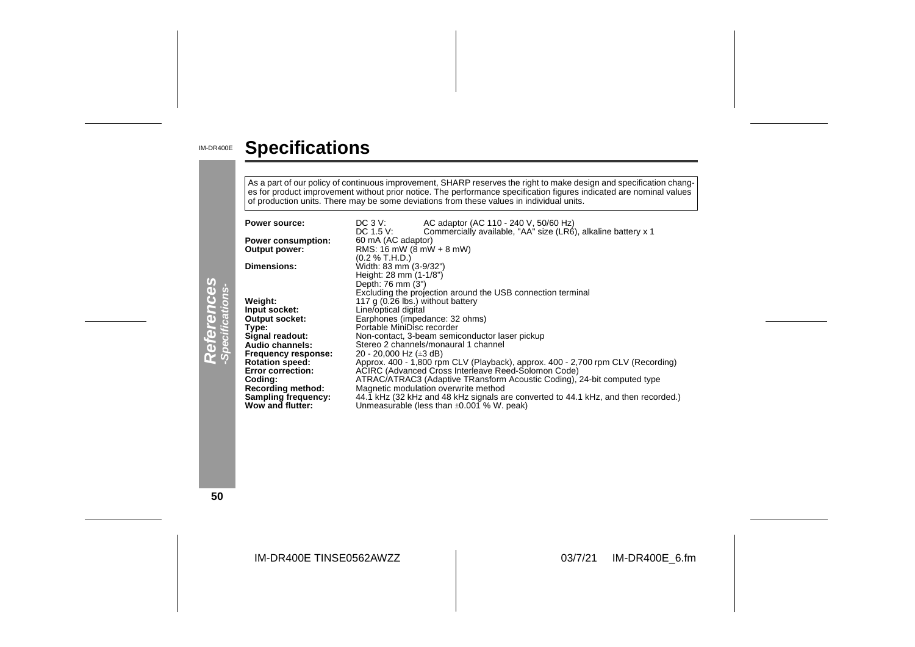#### IM-DR400E **Specifications**

As a part of our policy of continuous improvement, SHARP reserves the right to make design and specification chang es for product improvement without prior notice. The performance specification figures indicated are nominal values<br>of production units. There may be some deviations from these values in individual units.

| References<br>-Specifications- | Power source:<br><b>Power consumption:</b><br>Output power:<br><b>Dimensions:</b><br>Weight:<br>Input socket:<br><b>Output socket:</b><br>Type:<br>Signal readout:<br>Audio channels:<br>Frequency response:<br><b>Rotation speed:</b> | AC adaptor (AC 110 - 240 V, 50/60 Hz)<br>$DC_3V$ :<br>Commercially available, "AA" size (LR6), alkaline battery x 1<br>DC 1.5 V:<br>60 mA (AC adaptor)<br>RMS: 16 mW ( $8$ mW + 8 mW)<br>(0.2 % T.H.D.)<br>Width: 83 mm (3-9/32")<br>Height: 28 mm (1-1/8")<br>Depth: 76 mm (3")<br>Excluding the projection around the USB connection terminal<br>117 g (0.26 lbs.) without battery<br>Line/optical digital<br>Earphones (impedance: 32 ohms)<br>Portable MiniDisc recorder<br>Non-contact, 3-beam semiconductor laser pickup<br>Stereo 2 channels/monaural 1 channel<br>20 - 20,000 Hz ( $\pm 3$ dB)<br>Approx. 400 - 1,800 rpm CLV (Playback), approx. 400 - 2,700 rpm CLV (Recording) |
|--------------------------------|----------------------------------------------------------------------------------------------------------------------------------------------------------------------------------------------------------------------------------------|-------------------------------------------------------------------------------------------------------------------------------------------------------------------------------------------------------------------------------------------------------------------------------------------------------------------------------------------------------------------------------------------------------------------------------------------------------------------------------------------------------------------------------------------------------------------------------------------------------------------------------------------------------------------------------------------|
|                                | <b>Error correction:</b><br>Coding:<br><b>Recording method:</b><br><b>Sampling frequency:</b><br>Wow and flutter:                                                                                                                      | ACIRC (Advanced Cross Interleave Reed-Solomon Code)<br>ATRAC/ATRAC3 (Adaptive TRansform Acoustic Coding), 24-bit computed type<br>Magnetic modulation overwrite method<br>44.1 kHz (32 kHz and 48 kHz signals are converted to 44.1 kHz, and then recorded.)<br>Unmeasurable (less than $\pm 0.001$ % W. peak)                                                                                                                                                                                                                                                                                                                                                                            |

**50**

IM-DR400E TINSE0562AWZZ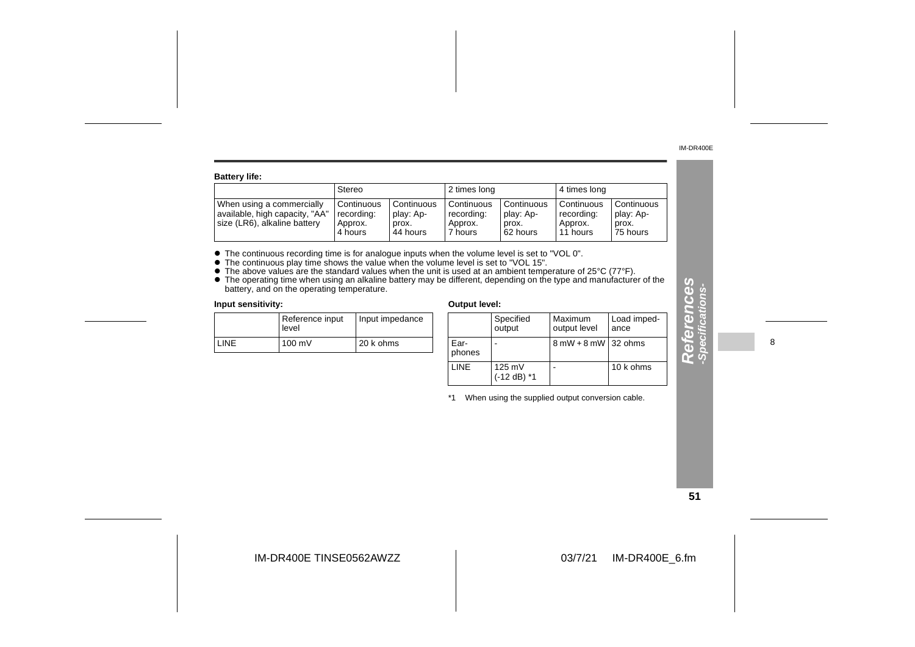**References -Specifications-**

 $\mathbf{r}$ 

eferences

ons-

| <b>Battery life:</b>                                                                        |                                                |                                              |                                                |                                              |                                                   |                                              |  |  |
|---------------------------------------------------------------------------------------------|------------------------------------------------|----------------------------------------------|------------------------------------------------|----------------------------------------------|---------------------------------------------------|----------------------------------------------|--|--|
|                                                                                             | Stereo                                         |                                              | 2 times long                                   |                                              | 4 times long                                      |                                              |  |  |
| When using a commercially<br>available, high capacity, "AA"<br>size (LR6), alkaline battery | Continuous<br>recording:<br>Approx.<br>4 hours | Continuous<br>play: Ap-<br>prox.<br>44 hours | Continuous<br>recording:<br>Approx.<br>7 hours | Continuous<br>play: Ap-<br>prox.<br>62 hours | l Continuous<br>recording:<br>Approx.<br>11 hours | Continuous<br>play: Ap-<br>prox.<br>75 hours |  |  |

• The continuous recording time is for analogue inputs when the volume level is set to "VOL 0".<br>
• The continuous play time shows the value when the volume level is set to "VOL 15".<br>
• The above values are the standard va

|       | Reference input<br>level | Input impedance |  |
|-------|--------------------------|-----------------|--|
| I INF | $100 \text{ mV}$         | 20 k ohms       |  |

| edance |                | Specified<br>output               | Maximum<br>output level               | Load imped-<br>ance |
|--------|----------------|-----------------------------------|---------------------------------------|---------------------|
| S      | Ear-<br>phones |                                   | $8 \text{ mW} + 8 \text{ mW}$ 32 ohms |                     |
|        | <b>LINE</b>    | $125 \text{ mV}$<br>$(-12 dB)$ *1 |                                       | 10 k ohms           |

\*1 When using the supplied output conversion cable.

8

**51**